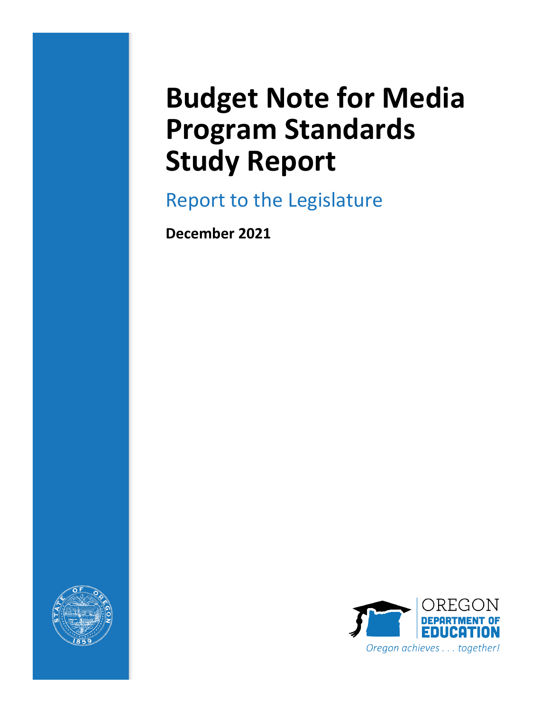# **Budget Note for Media Program Standards Study Report**

Report to the Legislature

**December 2021**



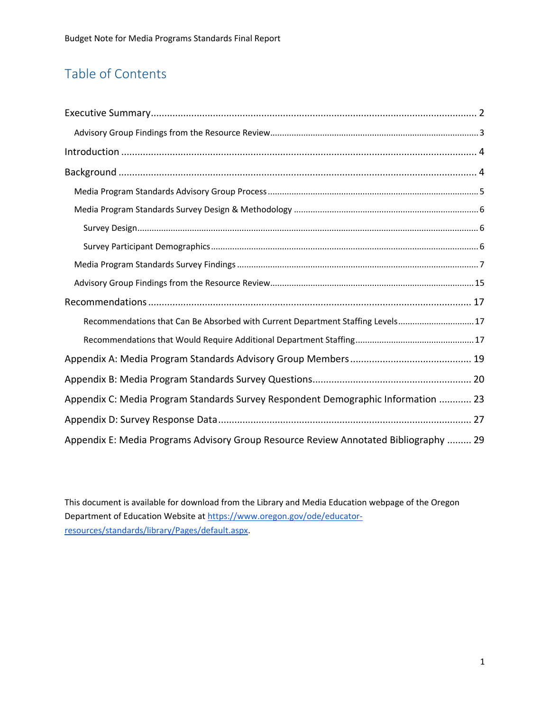# Table of Contents

| Recommendations that Can Be Absorbed with Current Department Staffing Levels 17      |
|--------------------------------------------------------------------------------------|
|                                                                                      |
|                                                                                      |
|                                                                                      |
| Appendix C: Media Program Standards Survey Respondent Demographic Information  23    |
|                                                                                      |
| Appendix E: Media Programs Advisory Group Resource Review Annotated Bibliography  29 |

This document is available for download from the Library and Media Education webpage of the Oregon Department of Education Website at [https://www.oregon.gov/ode/educator](https://www.oregon.gov/ode/educator-resources/standards/library/Pages/default.aspx)[resources/standards/library/Pages/default.aspx.](https://www.oregon.gov/ode/educator-resources/standards/library/Pages/default.aspx)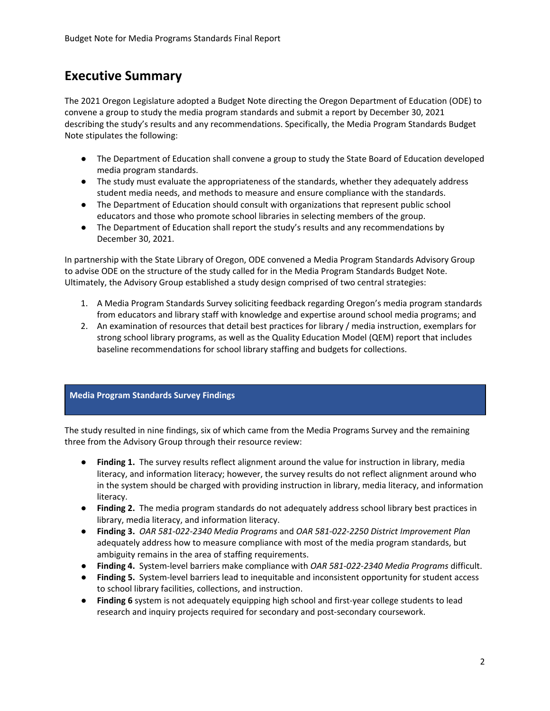# <span id="page-2-0"></span>**Executive Summary**

The 2021 Oregon Legislature adopted a Budget Note directing the Oregon Department of Education (ODE) to convene a group to study the media program standards and submit a report by December 30, 2021 describing the study's results and any recommendations. Specifically, the Media Program Standards Budget Note stipulates the following:

- The Department of Education shall convene a group to study the State Board of Education developed media program standards.
- The study must evaluate the appropriateness of the standards, whether they adequately address student media needs, and methods to measure and ensure compliance with the standards.
- The Department of Education should consult with organizations that represent public school educators and those who promote school libraries in selecting members of the group.
- The Department of Education shall report the study's results and any recommendations by December 30, 2021.

In partnership with the State Library of Oregon, ODE convened a Media Program Standards Advisory Group to advise ODE on the structure of the study called for in the Media Program Standards Budget Note. Ultimately, the Advisory Group established a study design comprised of two central strategies:

- 1. A Media Program Standards Survey soliciting feedback regarding Oregon's media program standards from educators and library staff with knowledge and expertise around school media programs; and
- 2. An examination of resources that detail best practices for library / media instruction, exemplars for strong school library programs, as well as the Quality Education Model (QEM) report that includes baseline recommendations for school library staffing and budgets for collections.

#### **Media Program Standards Survey Findings**

The study resulted in nine findings, six of which came from the Media Programs Survey and the remaining three from the Advisory Group through their resource review:

- **Finding 1.** The survey results reflect alignment around the value for instruction in library, media literacy, and information literacy; however, the survey results do not reflect alignment around who in the system should be charged with providing instruction in library, media literacy, and information literacy.
- **Finding 2.** The media program standards do not adequately address school library best practices in library, media literacy, and information literacy.
- **Finding 3.** *OAR 581-022-2340 Media Programs* and *OAR 581-022-2250 District Improvement Plan*  adequately address how to measure compliance with most of the media program standards, but ambiguity remains in the area of staffing requirements.
- **Finding 4.** System-level barriers make compliance with *OAR 581-022-2340 Media Programs* difficult.
- **Finding 5.** System-level barriers lead to inequitable and inconsistent opportunity for student access to school library facilities, collections, and instruction.
- **Finding 6** system is not adequately equipping high school and first-year college students to lead research and inquiry projects required for secondary and post-secondary coursework.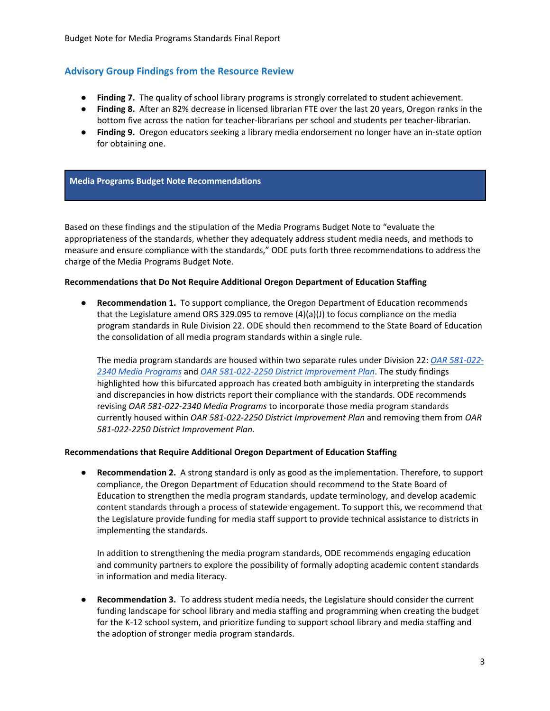#### <span id="page-3-0"></span>**Advisory Group Findings from the Resource Review**

- **Finding 7.** The quality of school library programs is strongly correlated to student achievement.
- **Finding 8.** After an 82% decrease in licensed librarian FTE over the last 20 years, Oregon ranks in the bottom five across the nation for teacher-librarians per school and students per teacher-librarian.
- **Finding 9.** Oregon educators seeking a library media endorsement no longer have an in-state option for obtaining one.

#### **Media Programs Budget Note Recommendations**

Based on these findings and the stipulation of the Media Programs Budget Note to "evaluate the appropriateness of the standards, whether they adequately address student media needs, and methods to measure and ensure compliance with the standards," ODE puts forth three recommendations to address the charge of the Media Programs Budget Note.

#### **Recommendations that Do Not Require Additional Oregon Department of Education Staffing**

**Recommendation 1.** To support compliance, the Oregon Department of Education recommends that the Legislature amend ORS 329.095 to remove  $(4)(a)(J)$  to focus compliance on the media program standards in Rule Division 22. ODE should then recommend to the State Board of Education the consolidation of all media program standards within a single rule.

The media program standards are housed within two separate rules under Division 22: *[OAR 581-022-](https://secure.sos.state.or.us/oard/viewSingleRule.action?ruleVrsnRsn=145320) [2340 Media Programs](https://secure.sos.state.or.us/oard/viewSingleRule.action?ruleVrsnRsn=145320)* and *[OAR 581-022-2250 District Improvement Plan](https://secure.sos.state.or.us/oard/viewSingleRule.action?ruleVrsnRsn=145276)*. The study findings highlighted how this bifurcated approach has created both ambiguity in interpreting the standards and discrepancies in how districts report their compliance with the standards. ODE recommends revising *OAR 581-022-2340 Media Programs* to incorporate those media program standards currently housed within *OAR 581-022-2250 District Improvement Plan* and removing them from *OAR 581-022-2250 District Improvement Plan*.

#### **Recommendations that Require Additional Oregon Department of Education Staffing**

● **Recommendation 2.** A strong standard is only as good as the implementation. Therefore, to support compliance, the Oregon Department of Education should recommend to the State Board of Education to strengthen the media program standards, update terminology, and develop academic content standards through a process of statewide engagement. To support this, we recommend that the Legislature provide funding for media staff support to provide technical assistance to districts in implementing the standards.

In addition to strengthening the media program standards, ODE recommends engaging education and community partners to explore the possibility of formally adopting academic content standards in information and media literacy.

● **Recommendation 3.** To address student media needs, the Legislature should consider the current funding landscape for school library and media staffing and programming when creating the budget for the K-12 school system, and prioritize funding to support school library and media staffing and the adoption of stronger media program standards.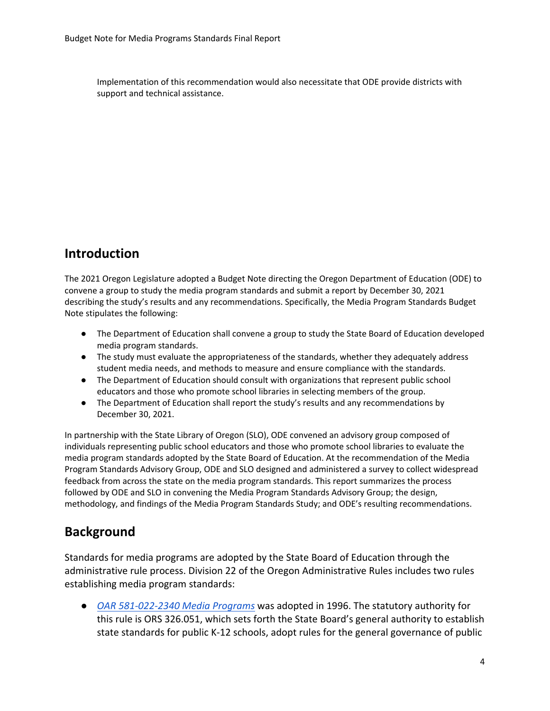Implementation of this recommendation would also necessitate that ODE provide districts with support and technical assistance.

# <span id="page-4-0"></span>**Introduction**

The 2021 Oregon Legislature adopted a Budget Note directing the Oregon Department of Education (ODE) to convene a group to study the media program standards and submit a report by December 30, 2021 describing the study's results and any recommendations. Specifically, the Media Program Standards Budget Note stipulates the following:

- The Department of Education shall convene a group to study the State Board of Education developed media program standards.
- The study must evaluate the appropriateness of the standards, whether they adequately address student media needs, and methods to measure and ensure compliance with the standards.
- The Department of Education should consult with organizations that represent public school educators and those who promote school libraries in selecting members of the group.
- The Department of Education shall report the study's results and any recommendations by December 30, 2021.

In partnership with the State Library of Oregon (SLO), ODE convened an advisory group composed of individuals representing public school educators and those who promote school libraries to evaluate the media program standards adopted by the State Board of Education. At the recommendation of the Media Program Standards Advisory Group, ODE and SLO designed and administered a survey to collect widespread feedback from across the state on the media program standards. This report summarizes the process followed by ODE and SLO in convening the Media Program Standards Advisory Group; the design, methodology, and findings of the Media Program Standards Study; and ODE's resulting recommendations.

# <span id="page-4-1"></span>**Background**

Standards for media programs are adopted by the State Board of Education through the administrative rule process. Division 22 of the Oregon Administrative Rules includes two rules establishing media program standards:

● *[OAR 581-022-2340 Media Programs](https://secure.sos.state.or.us/oard/viewSingleRule.action?ruleVrsnRsn=145320)* was adopted in 1996. The statutory authority for this rule is ORS 326.051, which sets forth the State Board's general authority to establish state standards for public K-12 schools, adopt rules for the general governance of public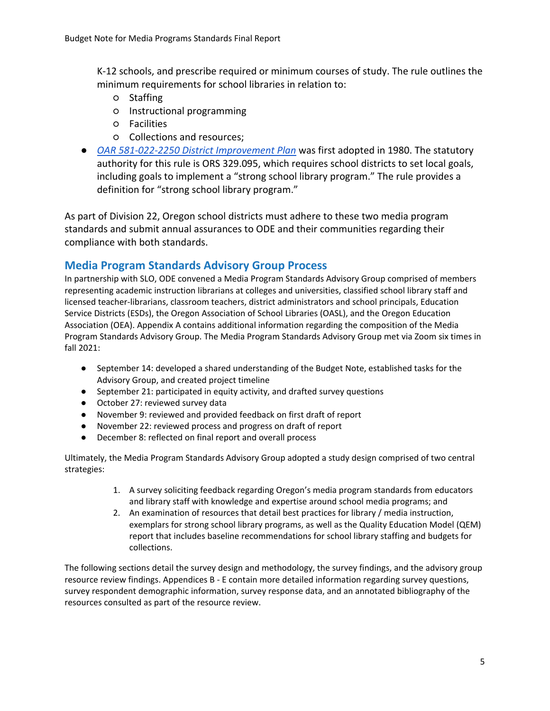K-12 schools, and prescribe required or minimum courses of study. The rule outlines the minimum requirements for school libraries in relation to:

- Staffing
- Instructional programming
- Facilities
- Collections and resources;
- *[OAR 581-022-2250 District Improvement Plan](https://secure.sos.state.or.us/oard/viewSingleRule.action?ruleVrsnRsn=145276)* was first adopted in 1980. The statutory authority for this rule is ORS 329.095, which requires school districts to set local goals, including goals to implement a "strong school library program." The rule provides a definition for "strong school library program."

As part of Division 22, Oregon school districts must adhere to these two media program standards and submit annual assurances to ODE and their communities regarding their compliance with both standards.

# <span id="page-5-0"></span>**Media Program Standards Advisory Group Process**

In partnership with SLO, ODE convened a Media Program Standards Advisory Group comprised of members representing academic instruction librarians at colleges and universities, classified school library staff and licensed teacher-librarians, classroom teachers, district administrators and school principals, Education Service Districts (ESDs), the Oregon Association of School Libraries (OASL), and the Oregon Education Association (OEA). Appendix A contains additional information regarding the composition of the Media Program Standards Advisory Group. The Media Program Standards Advisory Group met via Zoom six times in fall 2021:

- September 14: developed a shared understanding of the Budget Note, established tasks for the Advisory Group, and created project timeline
- September 21: participated in equity activity, and drafted survey questions
- October 27: reviewed survey data
- November 9: reviewed and provided feedback on first draft of report
- November 22: reviewed process and progress on draft of report
- December 8: reflected on final report and overall process

Ultimately, the Media Program Standards Advisory Group adopted a study design comprised of two central strategies:

- 1. A survey soliciting feedback regarding Oregon's media program standards from educators and library staff with knowledge and expertise around school media programs; and
- 2. An examination of resources that detail best practices for library / media instruction, exemplars for strong school library programs, as well as the Quality Education Model (QEM) report that includes baseline recommendations for school library staffing and budgets for collections.

The following sections detail the survey design and methodology, the survey findings, and the advisory group resource review findings. Appendices B - E contain more detailed information regarding survey questions, survey respondent demographic information, survey response data, and an annotated bibliography of the resources consulted as part of the resource review.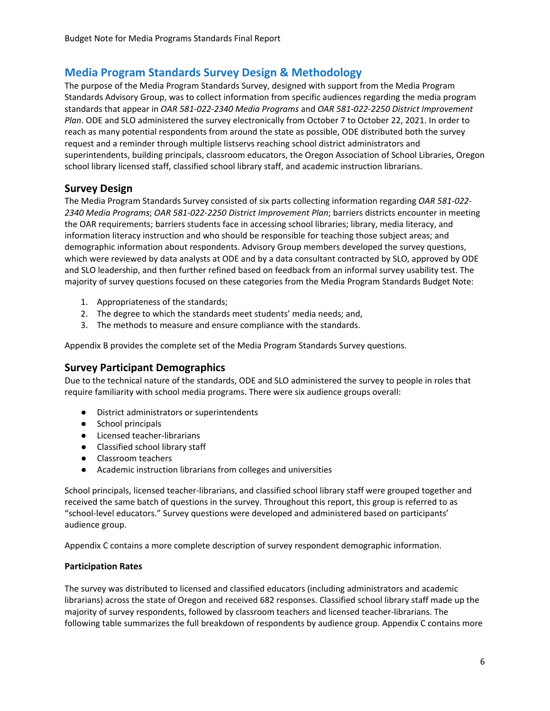# <span id="page-6-0"></span>**Media Program Standards Survey Design & Methodology**

The purpose of the Media Program Standards Survey, designed with support from the Media Program Standards Advisory Group, was to collect information from specific audiences regarding the media program standards that appear in *OAR 581-022-2340 Media Programs* and *OAR 581-022-2250 District Improvement Plan*. ODE and SLO administered the survey electronically from October 7 to October 22, 2021. In order to reach as many potential respondents from around the state as possible, ODE distributed both the survey request and a reminder through multiple listservs reaching school district administrators and superintendents, building principals, classroom educators, the Oregon Association of School Libraries, Oregon school library licensed staff, classified school library staff, and academic instruction librarians.

# <span id="page-6-1"></span>**Survey Design**

The Media Program Standards Survey consisted of six parts collecting information regarding *OAR 581-022- 2340 Media Programs*; *OAR 581-022-2250 District Improvement Plan*; barriers districts encounter in meeting the OAR requirements; barriers students face in accessing school libraries; library, media literacy, and information literacy instruction and who should be responsible for teaching those subject areas; and demographic information about respondents. Advisory Group members developed the survey questions, which were reviewed by data analysts at ODE and by a data consultant contracted by SLO, approved by ODE and SLO leadership, and then further refined based on feedback from an informal survey usability test. The majority of survey questions focused on these categories from the Media Program Standards Budget Note:

- 1. Appropriateness of the standards;
- 2. The degree to which the standards meet students' media needs; and,
- 3. The methods to measure and ensure compliance with the standards.

Appendix B provides the complete set of the Media Program Standards Survey questions.

#### <span id="page-6-2"></span>**Survey Participant Demographics**

Due to the technical nature of the standards, ODE and SLO administered the survey to people in roles that require familiarity with school media programs. There were six audience groups overall:

- District administrators or superintendents
- School principals
- Licensed teacher-librarians
- Classified school library staff
- Classroom teachers
- Academic instruction librarians from colleges and universities

School principals, licensed teacher-librarians, and classified school library staff were grouped together and received the same batch of questions in the survey. Throughout this report, this group is referred to as "school-level educators." Survey questions were developed and administered based on participants' audience group.

Appendix C contains a more complete description of survey respondent demographic information.

#### **Participation Rates**

The survey was distributed to licensed and classified educators (including administrators and academic librarians) across the state of Oregon and received 682 responses. Classified school library staff made up the majority of survey respondents, followed by classroom teachers and licensed teacher-librarians. The following table summarizes the full breakdown of respondents by audience group. Appendix C contains more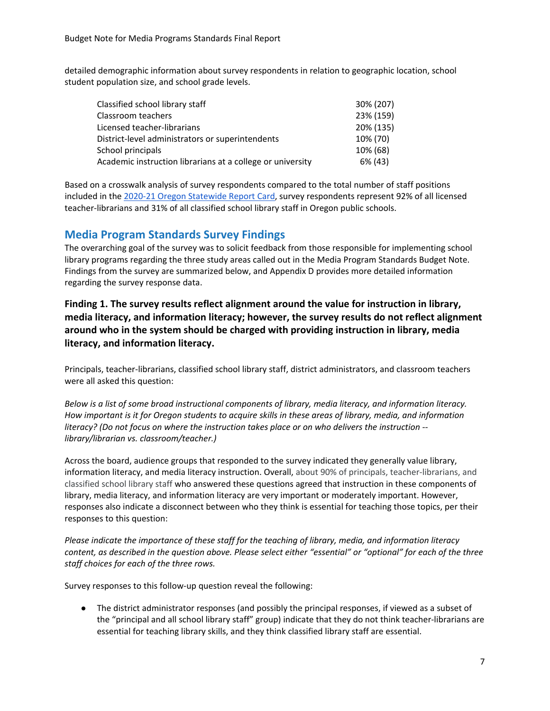detailed demographic information about survey respondents in relation to geographic location, school student population size, and school grade levels.

| Classified school library staff                            | 30% (207) |
|------------------------------------------------------------|-----------|
| Classroom teachers                                         | 23% (159) |
| Licensed teacher-librarians                                | 20% (135) |
| District-level administrators or superintendents           | 10% (70)  |
| School principals                                          | 10% (68)  |
| Academic instruction librarians at a college or university | 6% (43)   |

Based on a crosswalk analysis of survey respondents compared to the total number of staff positions included in the [2020-21 Oregon Statewide Report Card,](https://www.oregon.gov/ode/schools-and-districts/reportcards/Documents/rptcard2021.pdf) survey respondents represent 92% of all licensed teacher-librarians and 31% of all classified school library staff in Oregon public schools.

## <span id="page-7-0"></span>**Media Program Standards Survey Findings**

The overarching goal of the survey was to solicit feedback from those responsible for implementing school library programs regarding the three study areas called out in the Media Program Standards Budget Note. Findings from the survey are summarized below, and Appendix D provides more detailed information regarding the survey response data.

**Finding 1. The survey results reflect alignment around the value for instruction in library, media literacy, and information literacy; however, the survey results do not reflect alignment around who in the system should be charged with providing instruction in library, media literacy, and information literacy.** 

Principals, teacher-librarians, classified school library staff, district administrators, and classroom teachers were all asked this question:

*Below is a list of some broad instructional components of library, media literacy, and information literacy. How important is it for Oregon students to acquire skills in these areas of library, media, and information literacy? (Do not focus on where the instruction takes place or on who delivers the instruction - library/librarian vs. classroom/teacher.)*

Across the board, audience groups that responded to the survey indicated they generally value library, information literacy, and media literacy instruction. Overall, about 90% of principals, teacher-librarians, and classified school library staff who answered these questions agreed that instruction in these components of library, media literacy, and information literacy are very important or moderately important. However, responses also indicate a disconnect between who they think is essential for teaching those topics, per their responses to this question:

*Please indicate the importance of these staff for the teaching of library, media, and information literacy content, as described in the question above. Please select either "essential" or "optional" for each of the three staff choices for each of the three rows.* 

Survey responses to this follow-up question reveal the following:

● The district administrator responses (and possibly the principal responses, if viewed as a subset of the "principal and all school library staff" group) indicate that they do not think teacher-librarians are essential for teaching library skills, and they think classified library staff are essential.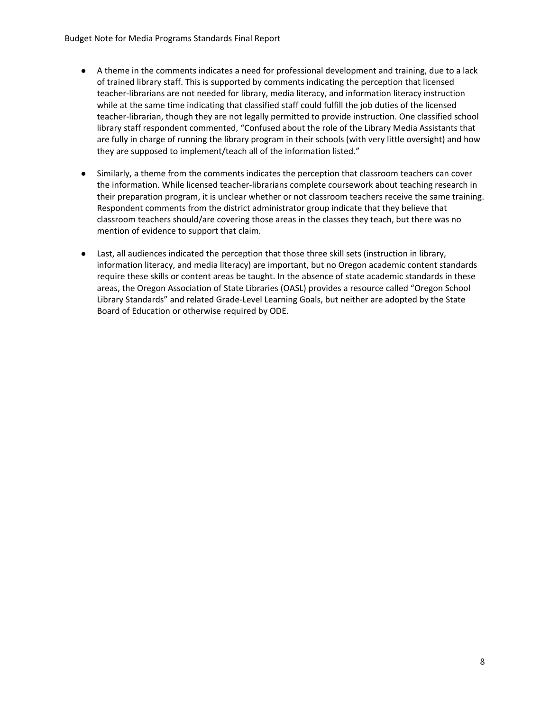- A theme in the comments indicates a need for professional development and training, due to a lack of trained library staff. This is supported by comments indicating the perception that licensed teacher-librarians are not needed for library, media literacy, and information literacy instruction while at the same time indicating that classified staff could fulfill the job duties of the licensed teacher-librarian, though they are not legally permitted to provide instruction. One classified school library staff respondent commented, "Confused about the role of the Library Media Assistants that are fully in charge of running the library program in their schools (with very little oversight) and how they are supposed to implement/teach all of the information listed."
- Similarly, a theme from the comments indicates the perception that classroom teachers can cover the information. While licensed teacher-librarians complete coursework about teaching research in their preparation program, it is unclear whether or not classroom teachers receive the same training. Respondent comments from the district administrator group indicate that they believe that classroom teachers should/are covering those areas in the classes they teach, but there was no mention of evidence to support that claim.
- Last, all audiences indicated the perception that those three skill sets (instruction in library, information literacy, and media literacy) are important, but no Oregon academic content standards require these skills or content areas be taught. In the absence of state academic standards in these areas, the Oregon Association of State Libraries (OASL) provides a resource called "Oregon School Library Standards" and related Grade-Level Learning Goals, but neither are adopted by the State Board of Education or otherwise required by ODE.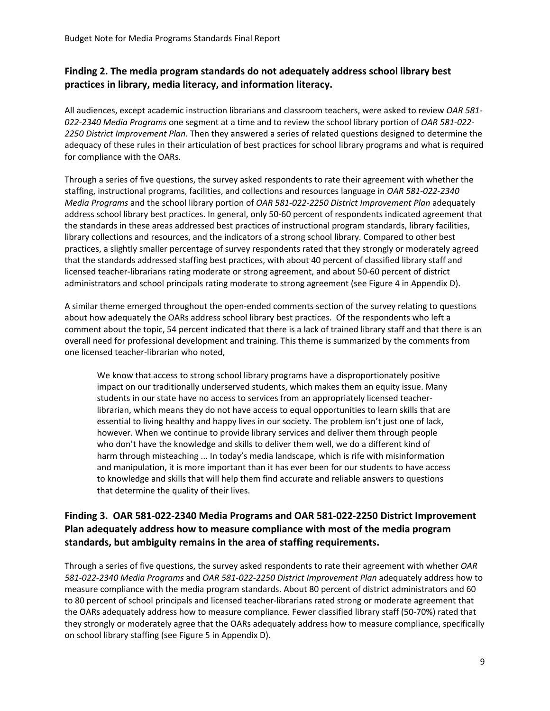## **Finding 2. The media program standards do not adequately address school library best practices in library, media literacy, and information literacy.**

All audiences, except academic instruction librarians and classroom teachers, were asked to review *OAR 581- 022-2340 Media Programs* one segment at a time and to review the school library portion of *OAR 581-022- 2250 District Improvement Plan*. Then they answered a series of related questions designed to determine the adequacy of these rules in their articulation of best practices for school library programs and what is required for compliance with the OARs.

Through a series of five questions, the survey asked respondents to rate their agreement with whether the staffing, instructional programs, facilities, and collections and resources language in *OAR 581-022-2340 Media Programs* and the school library portion of *OAR 581-022-2250 District Improvement Plan* adequately address school library best practices. In general, only 50-60 percent of respondents indicated agreement that the standards in these areas addressed best practices of instructional program standards, library facilities, library collections and resources, and the indicators of a strong school library. Compared to other best practices, a slightly smaller percentage of survey respondents rated that they strongly or moderately agreed that the standards addressed staffing best practices, with about 40 percent of classified library staff and licensed teacher-librarians rating moderate or strong agreement, and about 50-60 percent of district administrators and school principals rating moderate to strong agreement (see Figure 4 in Appendix D).

A similar theme emerged throughout the open-ended comments section of the survey relating to questions about how adequately the OARs address school library best practices. Of the respondents who left a comment about the topic, 54 percent indicated that there is a lack of trained library staff and that there is an overall need for professional development and training. This theme is summarized by the comments from one licensed teacher-librarian who noted,

We know that access to strong school library programs have a disproportionately positive impact on our traditionally underserved students, which makes them an equity issue. Many students in our state have no access to services from an appropriately licensed teacherlibrarian, which means they do not have access to equal opportunities to learn skills that are essential to living healthy and happy lives in our society. The problem isn't just one of lack, however. When we continue to provide library services and deliver them through people who don't have the knowledge and skills to deliver them well, we do a different kind of harm through misteaching ... In today's media landscape, which is rife with misinformation and manipulation, it is more important than it has ever been for our students to have access to knowledge and skills that will help them find accurate and reliable answers to questions that determine the quality of their lives.

## **Finding 3. OAR 581-022-2340 Media Programs and OAR 581-022-2250 District Improvement Plan adequately address how to measure compliance with most of the media program standards, but ambiguity remains in the area of staffing requirements.**

Through a series of five questions, the survey asked respondents to rate their agreement with whether *OAR 581-022-2340 Media Programs* and *OAR 581-022-2250 District Improvement Plan* adequately address how to measure compliance with the media program standards. About 80 percent of district administrators and 60 to 80 percent of school principals and licensed teacher-librarians rated strong or moderate agreement that the OARs adequately address how to measure compliance. Fewer classified library staff (50-70%) rated that they strongly or moderately agree that the OARs adequately address how to measure compliance, specifically on school library staffing (see Figure 5 in Appendix D).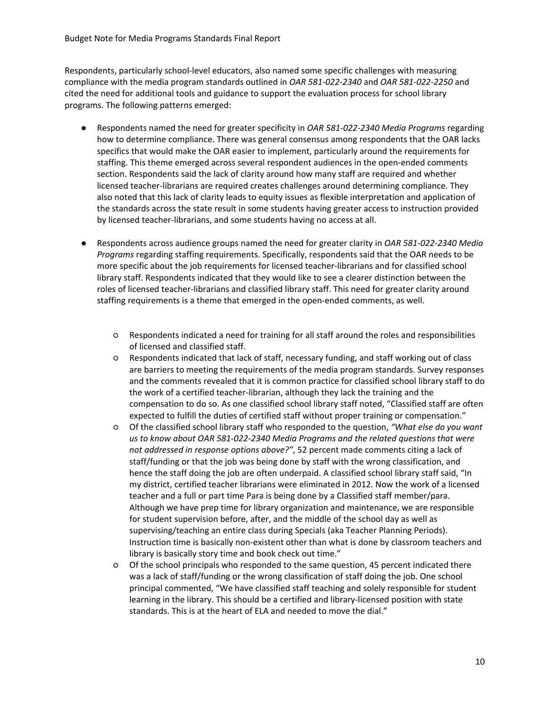Respondents, particularly school-level educators, also named some specific challenges with measuring compliance with the media program standards outlined in *OAR 581-022-2340* and *OAR 581-022-2250* and cited the need for additional tools and guidance to support the evaluation process for school library programs. The following patterns emerged:

- Respondents named the need for greater specificity in *OAR 581-022-2340 Media Programs* regarding how to determine compliance. There was general consensus among respondents that the OAR lacks specifics that would make the OAR easier to implement, particularly around the requirements for staffing. This theme emerged across several respondent audiences in the open-ended comments section. Respondents said the lack of clarity around how many staff are required and whether licensed teacher-librarians are required creates challenges around determining compliance. They also noted that this lack of clarity leads to equity issues as flexible interpretation and application of the standards across the state result in some students having greater access to instruction provided by licensed teacher-librarians, and some students having no access at all.
- Respondents across audience groups named the need for greater clarity in *OAR 581-022-2340 Media Programs* regarding staffing requirements. Specifically, respondents said that the OAR needs to be more specific about the job requirements for licensed teacher-librarians and for classified school library staff. Respondents indicated that they would like to see a clearer distinction between the roles of licensed teacher-librarians and classified library staff. This need for greater clarity around staffing requirements is a theme that emerged in the open-ended comments, as well.
	- Respondents indicated a need for training for all staff around the roles and responsibilities of licensed and classified staff.
	- Respondents indicated that lack of staff, necessary funding, and staff working out of class are barriers to meeting the requirements of the media program standards. Survey responses and the comments revealed that it is common practice for classified school library staff to do the work of a certified teacher-librarian, although they lack the training and the compensation to do so. As one classified school library staff noted, "Classified staff are often expected to fulfill the duties of certified staff without proper training or compensation."
	- Of the classified school library staff who responded to the question, *"What else do you want us to know about OAR 581-022-2340 Media Programs and the related questions that were not addressed in response options above?"*, 52 percent made comments citing a lack of staff/funding or that the job was being done by staff with the wrong classification, and hence the staff doing the job are often underpaid. A classified school library staff said, "In my district, certified teacher librarians were eliminated in 2012. Now the work of a licensed teacher and a full or part time Para is being done by a Classified staff member/para. Although we have prep time for library organization and maintenance, we are responsible for student supervision before, after, and the middle of the school day as well as supervising/teaching an entire class during Specials (aka Teacher Planning Periods). Instruction time is basically non-existent other than what is done by classroom teachers and library is basically story time and book check out time."
	- Of the school principals who responded to the same question, 45 percent indicated there was a lack of staff/funding or the wrong classification of staff doing the job. One school principal commented, "We have classified staff teaching and solely responsible for student learning in the library. This should be a certified and library-licensed position with state standards. This is at the heart of ELA and needed to move the dial."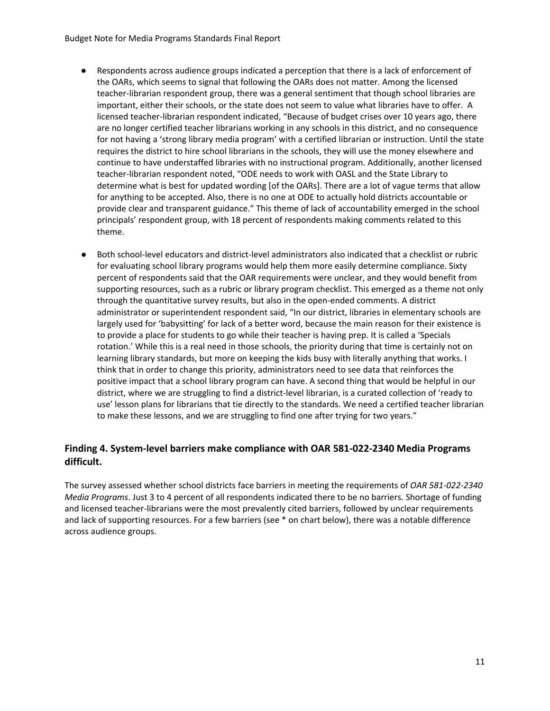- Respondents across audience groups indicated a perception that there is a lack of enforcement of the OARs, which seems to signal that following the OARs does not matter. Among the licensed teacher-librarian respondent group, there was a general sentiment that though school libraries are important, either their schools, or the state does not seem to value what libraries have to offer. A licensed teacher-librarian respondent indicated, "Because of budget crises over 10 years ago, there are no longer certified teacher librarians working in any schools in this district, and no consequence for not having a 'strong library media program' with a certified librarian or instruction. Until the state requires the district to hire school librarians in the schools, they will use the money elsewhere and continue to have understaffed libraries with no instructional program. Additionally, another licensed teacher-librarian respondent noted, "ODE needs to work with OASL and the State Library to determine what is best for updated wording [of the OARs]. There are a lot of vague terms that allow for anything to be accepted. Also, there is no one at ODE to actually hold districts accountable or provide clear and transparent guidance." This theme of lack of accountability emerged in the school principals' respondent group, with 18 percent of respondents making comments related to this theme.
- Both school-level educators and district-level administrators also indicated that a checklist or rubric for evaluating school library programs would help them more easily determine compliance. Sixty percent of respondents said that the OAR requirements were unclear, and they would benefit from supporting resources, such as a rubric or library program checklist. This emerged as a theme not only through the quantitative survey results, but also in the open-ended comments. A district administrator or superintendent respondent said, "In our district, libraries in elementary schools are largely used for 'babysitting' for lack of a better word, because the main reason for their existence is to provide a place for students to go while their teacher is having prep. It is called a 'Specials rotation.' While this is a real need in those schools, the priority during that time is certainly not on learning library standards, but more on keeping the kids busy with literally anything that works. I think that in order to change this priority, administrators need to see data that reinforces the positive impact that a school library program can have. A second thing that would be helpful in our district, where we are struggling to find a district-level librarian, is a curated collection of 'ready to use' lesson plans for librarians that tie directly to the standards. We need a certified teacher librarian to make these lessons, and we are struggling to find one after trying for two years."

## **Finding 4. System-level barriers make compliance with OAR 581-022-2340 Media Programs difficult.**

The survey assessed whether school districts face barriers in meeting the requirements of *OAR 581-022-2340 Media Programs*. Just 3 to 4 percent of all respondents indicated there to be no barriers. Shortage of funding and licensed teacher-librarians were the most prevalently cited barriers, followed by unclear requirements and lack of supporting resources. For a few barriers (see \* on chart below), there was a notable difference across audience groups.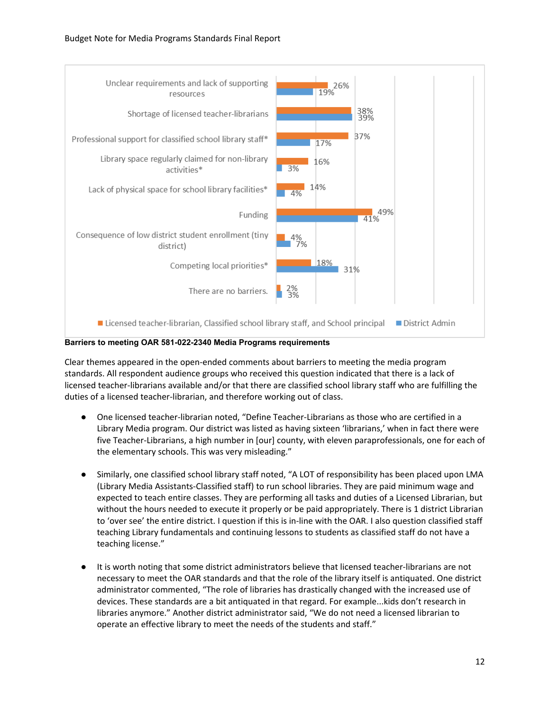

**Barriers to meeting OAR 581-022-2340 Media Programs requirements**

Clear themes appeared in the open-ended comments about barriers to meeting the media program standards. All respondent audience groups who received this question indicated that there is a lack of licensed teacher-librarians available and/or that there are classified school library staff who are fulfilling the duties of a licensed teacher-librarian, and therefore working out of class.

- One licensed teacher-librarian noted, "Define Teacher-Librarians as those who are certified in a Library Media program. Our district was listed as having sixteen 'librarians,' when in fact there were five Teacher-Librarians, a high number in [our] county, with eleven paraprofessionals, one for each of the elementary schools. This was very misleading."
- Similarly, one classified school library staff noted, "A LOT of responsibility has been placed upon LMA (Library Media Assistants-Classified staff) to run school libraries. They are paid minimum wage and expected to teach entire classes. They are performing all tasks and duties of a Licensed Librarian, but without the hours needed to execute it properly or be paid appropriately. There is 1 district Librarian to 'over see' the entire district. I question if this is in-line with the OAR. I also question classified staff teaching Library fundamentals and continuing lessons to students as classified staff do not have a teaching license."
- It is worth noting that some district administrators believe that licensed teacher-librarians are not necessary to meet the OAR standards and that the role of the library itself is antiquated. One district administrator commented, "The role of libraries has drastically changed with the increased use of devices. These standards are a bit antiquated in that regard. For example...kids don't research in libraries anymore." Another district administrator said, "We do not need a licensed librarian to operate an effective library to meet the needs of the students and staff."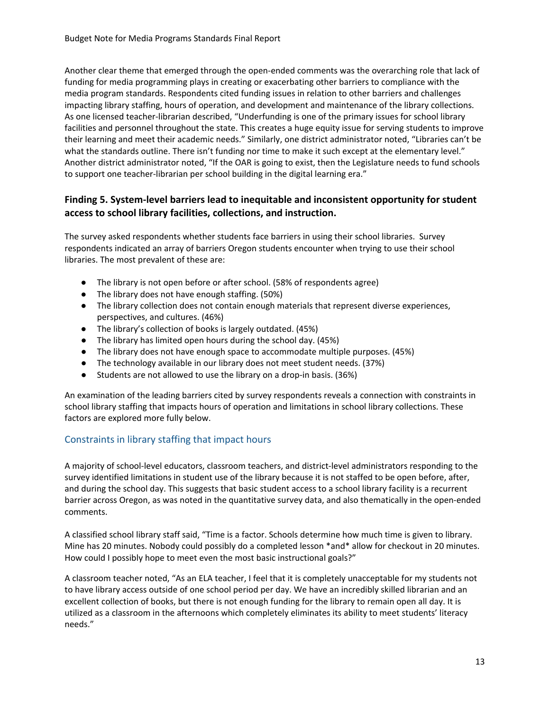Another clear theme that emerged through the open-ended comments was the overarching role that lack of funding for media programming plays in creating or exacerbating other barriers to compliance with the media program standards. Respondents cited funding issues in relation to other barriers and challenges impacting library staffing, hours of operation, and development and maintenance of the library collections. As one licensed teacher-librarian described, "Underfunding is one of the primary issues for school library facilities and personnel throughout the state. This creates a huge equity issue for serving students to improve their learning and meet their academic needs." Similarly, one district administrator noted, "Libraries can't be what the standards outline. There isn't funding nor time to make it such except at the elementary level." Another district administrator noted, "If the OAR is going to exist, then the Legislature needs to fund schools to support one teacher-librarian per school building in the digital learning era."

#### **Finding 5. System-level barriers lead to inequitable and inconsistent opportunity for student access to school library facilities, collections, and instruction.**

The survey asked respondents whether students face barriers in using their school libraries. Survey respondents indicated an array of barriers Oregon students encounter when trying to use their school libraries. The most prevalent of these are:

- The library is not open before or after school. (58% of respondents agree)
- The library does not have enough staffing. (50%)
- The library collection does not contain enough materials that represent diverse experiences, perspectives, and cultures. (46%)
- The library's collection of books is largely outdated. (45%)
- The library has limited open hours during the school day. (45%)
- The library does not have enough space to accommodate multiple purposes. (45%)
- The technology available in our library does not meet student needs. (37%)
- Students are not allowed to use the library on a drop-in basis. (36%)

An examination of the leading barriers cited by survey respondents reveals a connection with constraints in school library staffing that impacts hours of operation and limitations in school library collections. These factors are explored more fully below.

# Constraints in library staffing that impact hours

A majority of school-level educators, classroom teachers, and district-level administrators responding to the survey identified limitations in student use of the library because it is not staffed to be open before, after, and during the school day. This suggests that basic student access to a school library facility is a recurrent barrier across Oregon, as was noted in the quantitative survey data, and also thematically in the open-ended comments.

A classified school library staff said, "Time is a factor. Schools determine how much time is given to library. Mine has 20 minutes. Nobody could possibly do a completed lesson \*and\* allow for checkout in 20 minutes. How could I possibly hope to meet even the most basic instructional goals?"

A classroom teacher noted, "As an ELA teacher, I feel that it is completely unacceptable for my students not to have library access outside of one school period per day. We have an incredibly skilled librarian and an excellent collection of books, but there is not enough funding for the library to remain open all day. It is utilized as a classroom in the afternoons which completely eliminates its ability to meet students' literacy needs."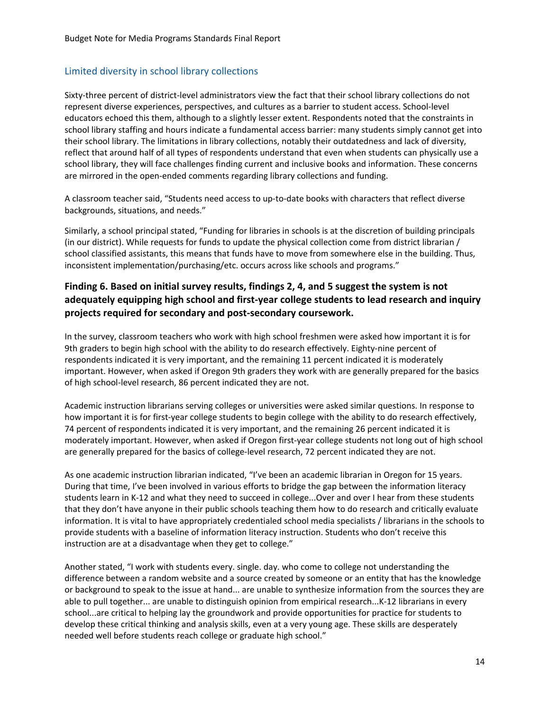## Limited diversity in school library collections

Sixty-three percent of district-level administrators view the fact that their school library collections do not represent diverse experiences, perspectives, and cultures as a barrier to student access. School-level educators echoed this them, although to a slightly lesser extent. Respondents noted that the constraints in school library staffing and hours indicate a fundamental access barrier: many students simply cannot get into their school library. The limitations in library collections, notably their outdatedness and lack of diversity, reflect that around half of all types of respondents understand that even when students can physically use a school library, they will face challenges finding current and inclusive books and information. These concerns are mirrored in the open-ended comments regarding library collections and funding.

A classroom teacher said, "Students need access to up-to-date books with characters that reflect diverse backgrounds, situations, and needs."

Similarly, a school principal stated, "Funding for libraries in schools is at the discretion of building principals (in our district). While requests for funds to update the physical collection come from district librarian / school classified assistants, this means that funds have to move from somewhere else in the building. Thus, inconsistent implementation/purchasing/etc. occurs across like schools and programs."

# **Finding 6. Based on initial survey results, findings 2, 4, and 5 suggest the system is not adequately equipping high school and first-year college students to lead research and inquiry projects required for secondary and post-secondary coursework.**

In the survey, classroom teachers who work with high school freshmen were asked how important it is for 9th graders to begin high school with the ability to do research effectively. Eighty-nine percent of respondents indicated it is very important, and the remaining 11 percent indicated it is moderately important. However, when asked if Oregon 9th graders they work with are generally prepared for the basics of high school-level research, 86 percent indicated they are not.

Academic instruction librarians serving colleges or universities were asked similar questions. In response to how important it is for first-year college students to begin college with the ability to do research effectively, 74 percent of respondents indicated it is very important, and the remaining 26 percent indicated it is moderately important. However, when asked if Oregon first-year college students not long out of high school are generally prepared for the basics of college-level research, 72 percent indicated they are not.

As one academic instruction librarian indicated, "I've been an academic librarian in Oregon for 15 years. During that time, I've been involved in various efforts to bridge the gap between the information literacy students learn in K-12 and what they need to succeed in college...Over and over I hear from these students that they don't have anyone in their public schools teaching them how to do research and critically evaluate information. It is vital to have appropriately credentialed school media specialists / librarians in the schools to provide students with a baseline of information literacy instruction. Students who don't receive this instruction are at a disadvantage when they get to college."

Another stated, "I work with students every. single. day. who come to college not understanding the difference between a random website and a source created by someone or an entity that has the knowledge or background to speak to the issue at hand... are unable to synthesize information from the sources they are able to pull together... are unable to distinguish opinion from empirical research...K-12 librarians in every school...are critical to helping lay the groundwork and provide opportunities for practice for students to develop these critical thinking and analysis skills, even at a very young age. These skills are desperately needed well before students reach college or graduate high school."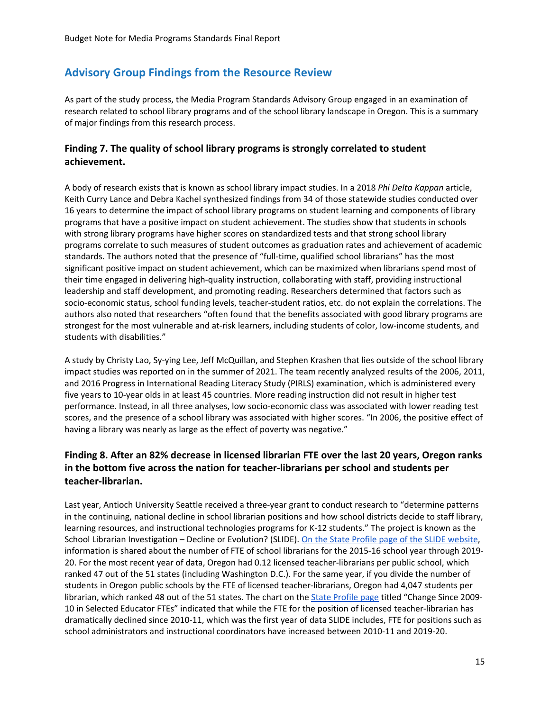# <span id="page-15-0"></span>**Advisory Group Findings from the Resource Review**

As part of the study process, the Media Program Standards Advisory Group engaged in an examination of research related to school library programs and of the school library landscape in Oregon. This is a summary of major findings from this research process.

#### **Finding 7. The quality of school library programs is strongly correlated to student achievement.**

A body of research exists that is known as school library impact studies. In a 2018 *Phi Delta Kappan* article, Keith Curry Lance and Debra Kachel synthesized findings from 34 of those statewide studies conducted over 16 years to determine the impact of school library programs on student learning and components of library programs that have a positive impact on student achievement. The studies show that students in schools with strong library programs have higher scores on standardized tests and that strong school library programs correlate to such measures of student outcomes as graduation rates and achievement of academic standards. The authors noted that the presence of "full-time, qualified school librarians" has the most significant positive impact on student achievement, which can be maximized when librarians spend most of their time engaged in delivering high-quality instruction, collaborating with staff, providing instructional leadership and staff development, and promoting reading. Researchers determined that factors such as socio-economic status, school funding levels, teacher-student ratios, etc. do not explain the correlations. The authors also noted that researchers "often found that the benefits associated with good library programs are strongest for the most vulnerable and at-risk learners, including students of color, low-income students, and students with disabilities."

A study by Christy Lao, Sy-ying Lee, Jeff McQuillan, and Stephen Krashen that lies outside of the school library impact studies was reported on in the summer of 2021. The team recently analyzed results of the 2006, 2011, and 2016 Progress in International Reading Literacy Study (PIRLS) examination, which is administered every five years to 10-year olds in at least 45 countries. More reading instruction did not result in higher test performance. Instead, in all three analyses, low socio-economic class was associated with lower reading test scores, and the presence of a school library was associated with higher scores. "In 2006, the positive effect of having a library was nearly as large as the effect of poverty was negative."

## **Finding 8. After an 82% decrease in licensed librarian FTE over the last 20 years, Oregon ranks in the bottom five across the nation for teacher-librarians per school and students per teacher-librarian.**

Last year, Antioch University Seattle received a three-year grant to conduct research to "determine patterns in the continuing, national decline in school librarian positions and how school districts decide to staff library, learning resources, and instructional technologies programs for K-12 students." The project is known as the School Librarian Investigation – Decline or Evolution? (SLIDE). On [the State Profile page of the SLIDE website,](https://libslide.org/data-tools/state-profile/) information is shared about the number of FTE of school librarians for the 2015-16 school year through 2019- 20. For the most recent year of data, Oregon had 0.12 licensed teacher-librarians per public school, which ranked 47 out of the 51 states (including Washington D.C.). For the same year, if you divide the number of students in Oregon public schools by the FTE of licensed teacher-librarians, Oregon had 4,047 students per librarian, which ranked 48 out of the 51 states. The chart on th[e State Profile page](https://libslide.org/data-tools/state-profile/) titled "Change Since 2009- 10 in Selected Educator FTEs" indicated that while the FTE for the position of licensed teacher-librarian has dramatically declined since 2010-11, which was the first year of data SLIDE includes, FTE for positions such as school administrators and instructional coordinators have increased between 2010-11 and 2019-20.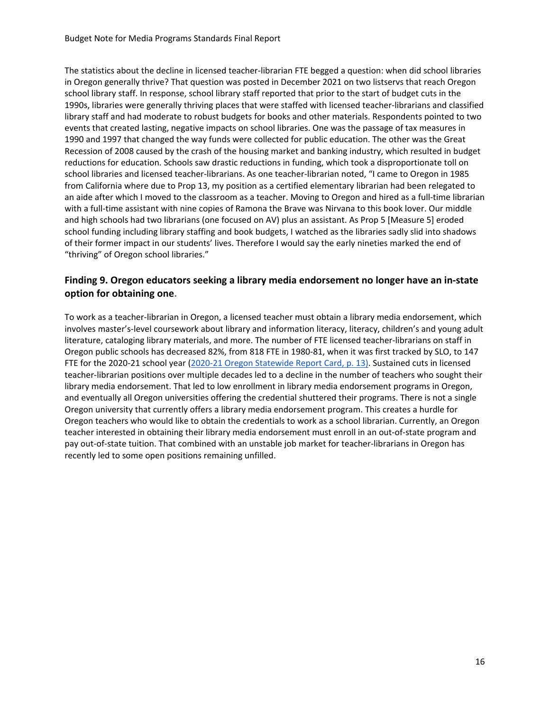The statistics about the decline in licensed teacher-librarian FTE begged a question: when did school libraries in Oregon generally thrive? That question was posted in December 2021 on two listservs that reach Oregon school library staff. In response, school library staff reported that prior to the start of budget cuts in the 1990s, libraries were generally thriving places that were staffed with licensed teacher-librarians and classified library staff and had moderate to robust budgets for books and other materials. Respondents pointed to two events that created lasting, negative impacts on school libraries. One was the passage of tax measures in 1990 and 1997 that changed the way funds were collected for public education. The other was the Great Recession of 2008 caused by the crash of the housing market and banking industry, which resulted in budget reductions for education. Schools saw drastic reductions in funding, which took a disproportionate toll on school libraries and licensed teacher-librarians. As one teacher-librarian noted, "I came to Oregon in 1985 from California where due to Prop 13, my position as a certified elementary librarian had been relegated to an aide after which I moved to the classroom as a teacher. Moving to Oregon and hired as a full-time librarian with a full-time assistant with nine copies of Ramona the Brave was Nirvana to this book lover. Our middle and high schools had two librarians (one focused on AV) plus an assistant. As Prop 5 [Measure 5] eroded school funding including library staffing and book budgets, I watched as the libraries sadly slid into shadows of their former impact in our students' lives. Therefore I would say the early nineties marked the end of "thriving" of Oregon school libraries."

## **Finding 9. Oregon educators seeking a library media endorsement no longer have an in-state option for obtaining one.**

<span id="page-16-0"></span>To work as a teacher-librarian in Oregon, a licensed teacher must obtain a library media endorsement, which involves master's-level coursework about library and information literacy, literacy, children's and young adult literature, cataloging library materials, and more. The number of FTE licensed teacher-librarians on staff in Oregon public schools has decreased 82%, from 818 FTE in 1980-81, when it was first tracked by SLO, to 147 FTE for the 2020-21 school year [\(2020-21 Oregon Statewide Report Card, p. 13\).](https://www.oregon.gov/ode/schools-and-districts/reportcards/Documents/rptcard2021.pdf) Sustained cuts in licensed teacher-librarian positions over multiple decades led to a decline in the number of teachers who sought their library media endorsement. That led to low enrollment in library media endorsement programs in Oregon, and eventually all Oregon universities offering the credential shuttered their programs. There is not a single Oregon university that currently offers a library media endorsement program. This creates a hurdle for Oregon teachers who would like to obtain the credentials to work as a school librarian. Currently, an Oregon teacher interested in obtaining their library media endorsement must enroll in an out-of-state program and pay out-of-state tuition. That combined with an unstable job market for teacher-librarians in Oregon has recently led to some open positions remaining unfilled.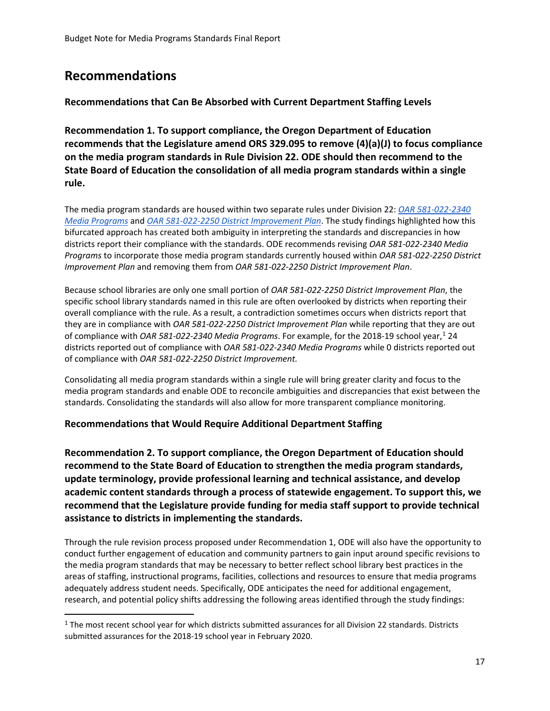# **Recommendations**

 $\overline{a}$ 

## <span id="page-17-0"></span>**Recommendations that Can Be Absorbed with Current Department Staffing Levels**

**Recommendation 1. To support compliance, the Oregon Department of Education recommends that the Legislature amend ORS 329.095 to remove (4)(a)(J) to focus compliance on the media program standards in Rule Division 22. ODE should then recommend to the State Board of Education the consolidation of all media program standards within a single rule.**

The media program standards are housed within two separate rules under Division 22: *[OAR 581-022-2340](https://secure.sos.state.or.us/oard/viewSingleRule.action?ruleVrsnRsn=145320)  [Media Programs](https://secure.sos.state.or.us/oard/viewSingleRule.action?ruleVrsnRsn=145320)* and *[OAR 581-022-2250 District Improvement Plan](https://secure.sos.state.or.us/oard/viewSingleRule.action?ruleVrsnRsn=145276)*. The study findings highlighted how this bifurcated approach has created both ambiguity in interpreting the standards and discrepancies in how districts report their compliance with the standards. ODE recommends revising *OAR 581-022-2340 Media Programs* to incorporate those media program standards currently housed within *OAR 581-022-2250 District Improvement Plan* and removing them from *OAR 581-022-2250 District Improvement Plan*.

Because school libraries are only one small portion of *OAR 581-022-2250 District Improvement Plan*, the specific school library standards named in this rule are often overlooked by districts when reporting their overall compliance with the rule. As a result, a contradiction sometimes occurs when districts report that they are in compliance with *OAR 581-022-2250 District Improvement Plan* while reporting that they are out of compliance with *OAR 58[1](#page-17-2)-022-2340 Media Programs*. For example, for the 2018-19 school year,<sup>1</sup> 24 districts reported out of compliance with *OAR 581-022-2340 Media Programs* while 0 districts reported out of compliance with *OAR 581-022-2250 District Improvement.* 

Consolidating all media program standards within a single rule will bring greater clarity and focus to the media program standards and enable ODE to reconcile ambiguities and discrepancies that exist between the standards. Consolidating the standards will also allow for more transparent compliance monitoring.

# <span id="page-17-1"></span>**Recommendations that Would Require Additional Department Staffing**

**Recommendation 2. To support compliance, the Oregon Department of Education should recommend to the State Board of Education to strengthen the media program standards, update terminology, provide professional learning and technical assistance, and develop academic content standards through a process of statewide engagement. To support this, we recommend that the Legislature provide funding for media staff support to provide technical assistance to districts in implementing the standards.**

Through the rule revision process proposed under Recommendation 1, ODE will also have the opportunity to conduct further engagement of education and community partners to gain input around specific revisions to the media program standards that may be necessary to better reflect school library best practices in the areas of staffing, instructional programs, facilities, collections and resources to ensure that media programs adequately address student needs. Specifically, ODE anticipates the need for additional engagement, research, and potential policy shifts addressing the following areas identified through the study findings:

<span id="page-17-2"></span><sup>&</sup>lt;sup>1</sup> The most recent school year for which districts submitted assurances for all Division 22 standards. Districts submitted assurances for the 2018-19 school year in February 2020.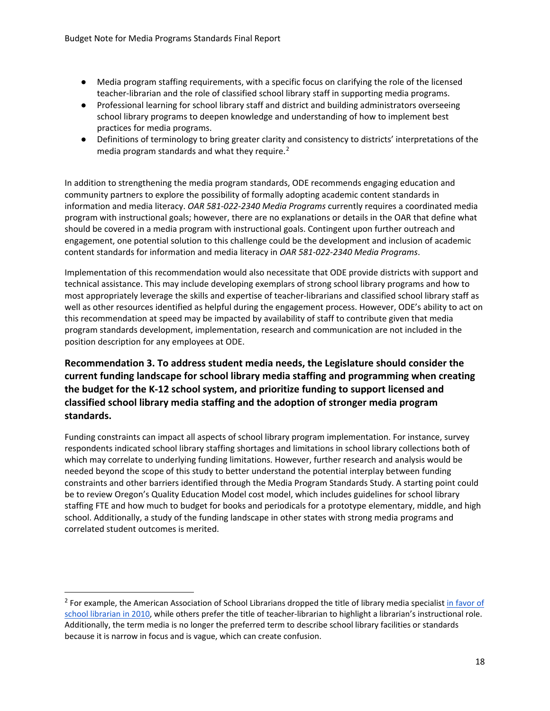- Media program staffing requirements, with a specific focus on clarifying the role of the licensed teacher-librarian and the role of classified school library staff in supporting media programs.
- Professional learning for school library staff and district and building administrators overseeing school library programs to deepen knowledge and understanding of how to implement best practices for media programs.
- Definitions of terminology to bring greater clarity and consistency to districts' interpretations of the media program standards and what they require.<sup>[2](#page-18-0)</sup>

In addition to strengthening the media program standards, ODE recommends engaging education and community partners to explore the possibility of formally adopting academic content standards in information and media literacy. *OAR 581-022-2340 Media Programs* currently requires a coordinated media program with instructional goals; however, there are no explanations or details in the OAR that define what should be covered in a media program with instructional goals. Contingent upon further outreach and engagement, one potential solution to this challenge could be the development and inclusion of academic content standards for information and media literacy in *OAR 581-022-2340 Media Programs*.

Implementation of this recommendation would also necessitate that ODE provide districts with support and technical assistance. This may include developing exemplars of strong school library programs and how to most appropriately leverage the skills and expertise of teacher-librarians and classified school library staff as well as other resources identified as helpful during the engagement process. However, ODE's ability to act on this recommendation at speed may be impacted by availability of staff to contribute given that media program standards development, implementation, research and communication are not included in the position description for any employees at ODE.

# **Recommendation 3. To address student media needs, the Legislature should consider the current funding landscape for school library media staffing and programming when creating the budget for the K-12 school system, and prioritize funding to support licensed and classified school library media staffing and the adoption of stronger media program standards.**

Funding constraints can impact all aspects of school library program implementation. For instance, survey respondents indicated school library staffing shortages and limitations in school library collections both of which may correlate to underlying funding limitations. However, further research and analysis would be needed beyond the scope of this study to better understand the potential interplay between funding constraints and other barriers identified through the Media Program Standards Study. A starting point could be to review Oregon's Quality Education Model cost model, which includes guidelines for school library staffing FTE and how much to budget for books and periodicals for a prototype elementary, middle, and high school. Additionally, a study of the funding landscape in other states with strong media programs and correlated student outcomes is merited.

 $\overline{a}$ 

<span id="page-18-0"></span><sup>&</sup>lt;sup>2</sup> For example, the American Association of School Librarians dropped the title of library media specialist in favor of [school librarian in 2010,](https://nam02.safelinks.protection.outlook.com/?url=https%3A%2F%2Fwww.ala.org%2Fnews%2Fnews%2Fpressreleases2010%2Fjanuary2010%2Fadopt_aasl&data=04%7C01%7CTina.Roberts%40ode.state.or.us%7C965a4857b2104bb2e1bd08d9b5ee4ccb%7Cb4f51418b26949a2935afa54bf584fc8%7C0%7C0%7C637740857374362431%7CUnknown%7CTWFpbGZsb3d8eyJWIjoiMC4wLjAwMDAiLCJQIjoiV2luMzIiLCJBTiI6Ik1haWwiLCJXVCI6Mn0%3D%7C3000&sdata=omvp1em8PeZ622ftSbofY%2Fu15d%2BvXc%2FiVzI3BJ2PpNE%3D&reserved=0) while others prefer the title of teacher-librarian to highlight a librarian's instructional role. Additionally, the term media is no longer the preferred term to describe school library facilities or standards because it is narrow in focus and is vague, which can create confusion.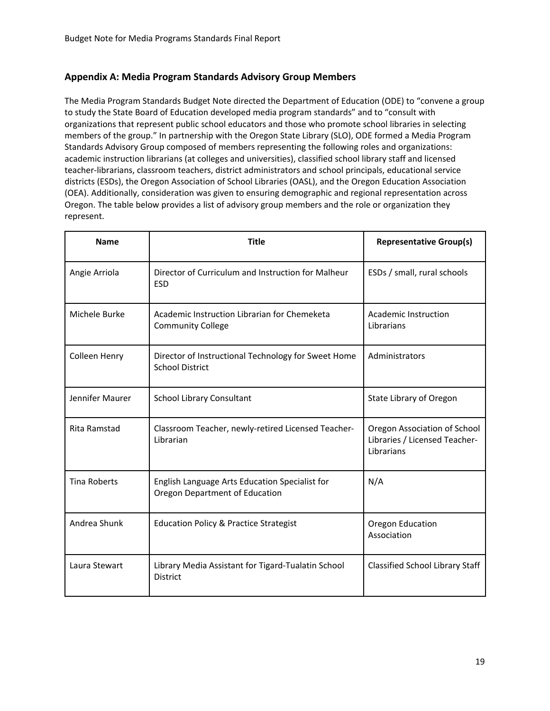#### <span id="page-19-0"></span>**Appendix A: Media Program Standards Advisory Group Members**

The Media Program Standards Budget Note directed the Department of Education (ODE) to "convene a group to study the State Board of Education developed media program standards" and to "consult with organizations that represent public school educators and those who promote school libraries in selecting members of the group." In partnership with the Oregon State Library (SLO), ODE formed a Media Program Standards Advisory Group composed of members representing the following roles and organizations: academic instruction librarians (at colleges and universities), classified school library staff and licensed teacher-librarians, classroom teachers, district administrators and school principals, educational service districts (ESDs), the Oregon Association of School Libraries (OASL), and the Oregon Education Association (OEA). Additionally, consideration was given to ensuring demographic and regional representation across Oregon. The table below provides a list of advisory group members and the role or organization they represent.

| <b>Name</b>         | <b>Title</b>                                                                     | <b>Representative Group(s)</b>                                              |
|---------------------|----------------------------------------------------------------------------------|-----------------------------------------------------------------------------|
| Angie Arriola       | Director of Curriculum and Instruction for Malheur<br><b>ESD</b>                 | ESDs / small, rural schools                                                 |
| Michele Burke       | Academic Instruction Librarian for Chemeketa<br><b>Community College</b>         | <b>Academic Instruction</b><br>Librarians                                   |
| Colleen Henry       | Director of Instructional Technology for Sweet Home<br><b>School District</b>    | Administrators                                                              |
| Jennifer Maurer     | <b>School Library Consultant</b>                                                 | State Library of Oregon                                                     |
| Rita Ramstad        | Classroom Teacher, newly-retired Licensed Teacher-<br>Librarian                  | Oregon Association of School<br>Libraries / Licensed Teacher-<br>Librarians |
| <b>Tina Roberts</b> | English Language Arts Education Specialist for<br>Oregon Department of Education | N/A                                                                         |
| Andrea Shunk        | <b>Education Policy &amp; Practice Strategist</b>                                | Oregon Education<br>Association                                             |
| Laura Stewart       | Library Media Assistant for Tigard-Tualatin School<br><b>District</b>            | <b>Classified School Library Staff</b>                                      |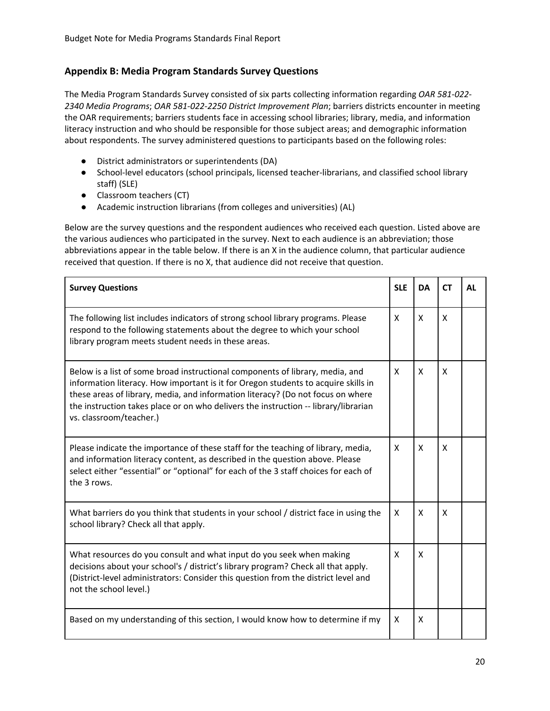#### <span id="page-20-0"></span>**Appendix B: Media Program Standards Survey Questions**

The Media Program Standards Survey consisted of six parts collecting information regarding *OAR 581-022- 2340 Media Programs*; *OAR 581-022-2250 District Improvement Plan*; barriers districts encounter in meeting the OAR requirements; barriers students face in accessing school libraries; library, media, and information literacy instruction and who should be responsible for those subject areas; and demographic information about respondents. The survey administered questions to participants based on the following roles:

- District administrators or superintendents (DA)
- School-level educators (school principals, licensed teacher-librarians, and classified school library staff) (SLE)
- Classroom teachers (CT)
- Academic instruction librarians (from colleges and universities) (AL)

Below are the survey questions and the respondent audiences who received each question. Listed above are the various audiences who participated in the survey. Next to each audience is an abbreviation; those abbreviations appear in the table below. If there is an X in the audience column, that particular audience received that question. If there is no X, that audience did not receive that question.

| <b>Survey Questions</b>                                                                                                                                                                                                                                                                                                                                                  | <b>SLE</b> | <b>DA</b> | <b>CT</b> | AL |
|--------------------------------------------------------------------------------------------------------------------------------------------------------------------------------------------------------------------------------------------------------------------------------------------------------------------------------------------------------------------------|------------|-----------|-----------|----|
| The following list includes indicators of strong school library programs. Please<br>respond to the following statements about the degree to which your school<br>library program meets student needs in these areas.                                                                                                                                                     | X          | X         | X         |    |
| Below is a list of some broad instructional components of library, media, and<br>information literacy. How important is it for Oregon students to acquire skills in<br>these areas of library, media, and information literacy? (Do not focus on where<br>the instruction takes place or on who delivers the instruction -- library/librarian<br>vs. classroom/teacher.) | X          | X         | X         |    |
| Please indicate the importance of these staff for the teaching of library, media,<br>and information literacy content, as described in the question above. Please<br>select either "essential" or "optional" for each of the 3 staff choices for each of<br>the 3 rows.                                                                                                  | X          | X         | X         |    |
| What barriers do you think that students in your school / district face in using the<br>school library? Check all that apply.                                                                                                                                                                                                                                            | X          | X         | X         |    |
| What resources do you consult and what input do you seek when making<br>decisions about your school's / district's library program? Check all that apply.<br>(District-level administrators: Consider this question from the district level and<br>not the school level.)                                                                                                | X          | X         |           |    |
| Based on my understanding of this section, I would know how to determine if my                                                                                                                                                                                                                                                                                           | X          | X         |           |    |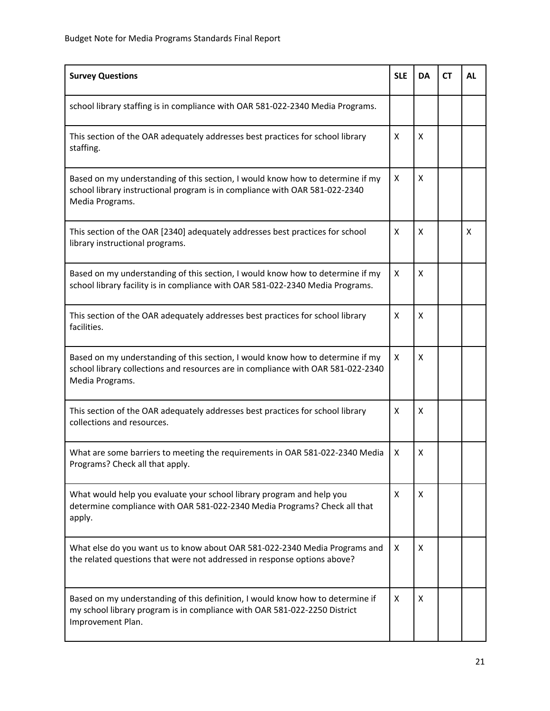| <b>Survey Questions</b>                                                                                                                                                               | <b>SLE</b> | <b>DA</b> | <b>CT</b> | <b>AL</b> |
|---------------------------------------------------------------------------------------------------------------------------------------------------------------------------------------|------------|-----------|-----------|-----------|
| school library staffing is in compliance with OAR 581-022-2340 Media Programs.                                                                                                        |            |           |           |           |
| This section of the OAR adequately addresses best practices for school library<br>staffing.                                                                                           | X          | x         |           |           |
| Based on my understanding of this section, I would know how to determine if my<br>school library instructional program is in compliance with OAR 581-022-2340<br>Media Programs.      | X          | X         |           |           |
| This section of the OAR [2340] adequately addresses best practices for school<br>library instructional programs.                                                                      | X          | X         |           | X         |
| Based on my understanding of this section, I would know how to determine if my<br>school library facility is in compliance with OAR 581-022-2340 Media Programs.                      | X          | X         |           |           |
| This section of the OAR adequately addresses best practices for school library<br>facilities.                                                                                         | X          | X         |           |           |
| Based on my understanding of this section, I would know how to determine if my<br>school library collections and resources are in compliance with OAR 581-022-2340<br>Media Programs. | X          | X         |           |           |
| This section of the OAR adequately addresses best practices for school library<br>collections and resources.                                                                          | X          | X         |           |           |
| What are some barriers to meeting the requirements in OAR 581-022-2340 Media<br>Programs? Check all that apply.                                                                       | X          | X         |           |           |
| What would help you evaluate your school library program and help you<br>determine compliance with OAR 581-022-2340 Media Programs? Check all that<br>apply.                          | X          | X         |           |           |
| What else do you want us to know about OAR 581-022-2340 Media Programs and<br>the related questions that were not addressed in response options above?                                | X          | X         |           |           |
| Based on my understanding of this definition, I would know how to determine if<br>my school library program is in compliance with OAR 581-022-2250 District<br>Improvement Plan.      | X          | X         |           |           |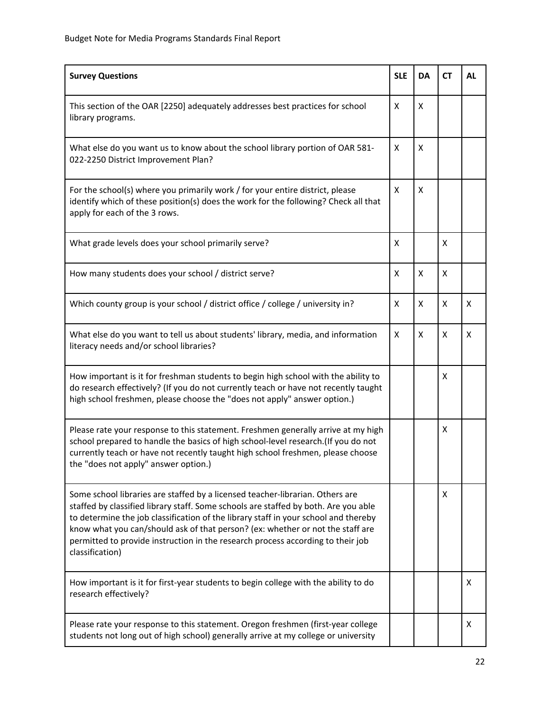| <b>Survey Questions</b>                                                                                                                                                                                                                                                                                                                                                                                                                             | <b>SLE</b> | <b>DA</b> | <b>CT</b> | <b>AL</b> |
|-----------------------------------------------------------------------------------------------------------------------------------------------------------------------------------------------------------------------------------------------------------------------------------------------------------------------------------------------------------------------------------------------------------------------------------------------------|------------|-----------|-----------|-----------|
| This section of the OAR [2250] adequately addresses best practices for school<br>library programs.                                                                                                                                                                                                                                                                                                                                                  | X          | X         |           |           |
| What else do you want us to know about the school library portion of OAR 581-<br>022-2250 District Improvement Plan?                                                                                                                                                                                                                                                                                                                                | X          | X         |           |           |
| For the school(s) where you primarily work / for your entire district, please<br>identify which of these position(s) does the work for the following? Check all that<br>apply for each of the 3 rows.                                                                                                                                                                                                                                               | X          | X         |           |           |
| What grade levels does your school primarily serve?                                                                                                                                                                                                                                                                                                                                                                                                 | X          |           | X         |           |
| How many students does your school / district serve?                                                                                                                                                                                                                                                                                                                                                                                                | X          | X         | X         |           |
| Which county group is your school / district office / college / university in?                                                                                                                                                                                                                                                                                                                                                                      | X          | X         | X         | X         |
| What else do you want to tell us about students' library, media, and information<br>literacy needs and/or school libraries?                                                                                                                                                                                                                                                                                                                         | X          | X         | X         | X         |
| How important is it for freshman students to begin high school with the ability to<br>do research effectively? (If you do not currently teach or have not recently taught<br>high school freshmen, please choose the "does not apply" answer option.)                                                                                                                                                                                               |            |           | X         |           |
| Please rate your response to this statement. Freshmen generally arrive at my high<br>school prepared to handle the basics of high school-level research.(If you do not<br>currently teach or have not recently taught high school freshmen, please choose<br>the "does not apply" answer option.)                                                                                                                                                   |            |           | X         |           |
| Some school libraries are staffed by a licensed teacher-librarian. Others are<br>staffed by classified library staff. Some schools are staffed by both. Are you able<br>to determine the job classification of the library staff in your school and thereby<br>know what you can/should ask of that person? (ex: whether or not the staff are<br>permitted to provide instruction in the research process according to their job<br>classification) |            |           | X         |           |
| How important is it for first-year students to begin college with the ability to do<br>research effectively?                                                                                                                                                                                                                                                                                                                                        |            |           |           | X         |
| Please rate your response to this statement. Oregon freshmen (first-year college<br>students not long out of high school) generally arrive at my college or university                                                                                                                                                                                                                                                                              |            |           |           | X         |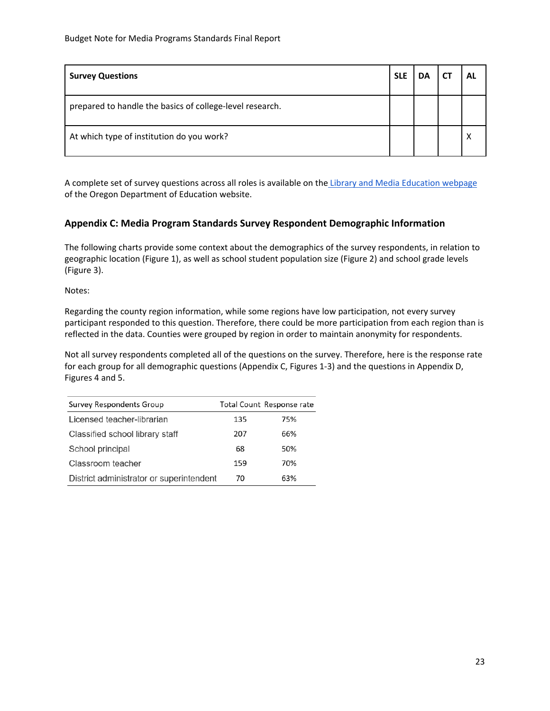| <b>Survey Questions</b>                                  | <b>SLE</b> | DΑ | AL |
|----------------------------------------------------------|------------|----|----|
| prepared to handle the basics of college-level research. |            |    |    |
| At which type of institution do you work?                |            |    |    |

A complete set of survey questions across all roles is available on the [Library and Media Education webpage](https://www.oregon.gov/ode/educator-resources/standards/library/Pages/default.aspx) of the Oregon Department of Education website.

#### <span id="page-23-0"></span>**Appendix C: Media Program Standards Survey Respondent Demographic Information**

The following charts provide some context about the demographics of the survey respondents, in relation to geographic location (Figure 1), as well as school student population size (Figure 2) and school grade levels (Figure 3).

Notes:

Regarding the county region information, while some regions have low participation, not every survey participant responded to this question. Therefore, there could be more participation from each region than is reflected in the data. Counties were grouped by region in order to maintain anonymity for respondents.

Not all survey respondents completed all of the questions on the survey. Therefore, here is the response rate for each group for all demographic questions (Appendix C, Figures 1-3) and the questions in Appendix D, Figures 4 and 5.

| Survey Respondents Group                 |     | Total Count Response rate |
|------------------------------------------|-----|---------------------------|
| Licensed teacher-librarian               | 135 | 75%                       |
| Classified school library staff          | 207 | 66%                       |
| School principal                         | 68  | 50%                       |
| Classroom teacher                        | 159 | 70%                       |
| District administrator or superintendent | 70  | 63%                       |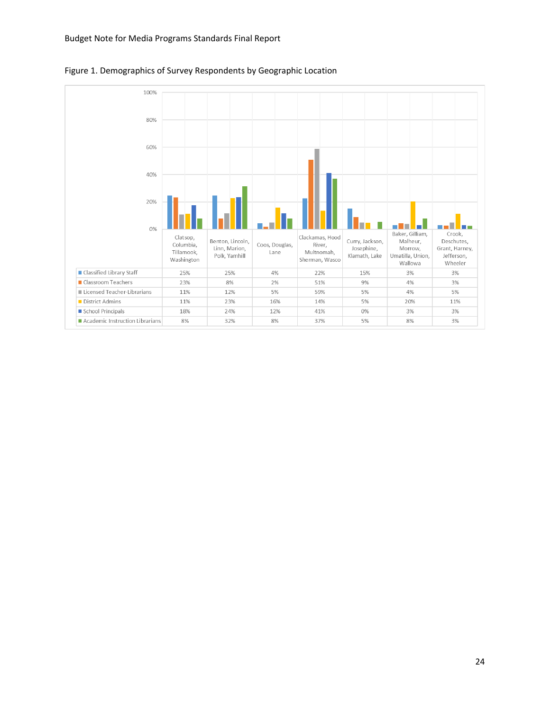

Figure 1. Demographics of Survey Respondents by Geographic Location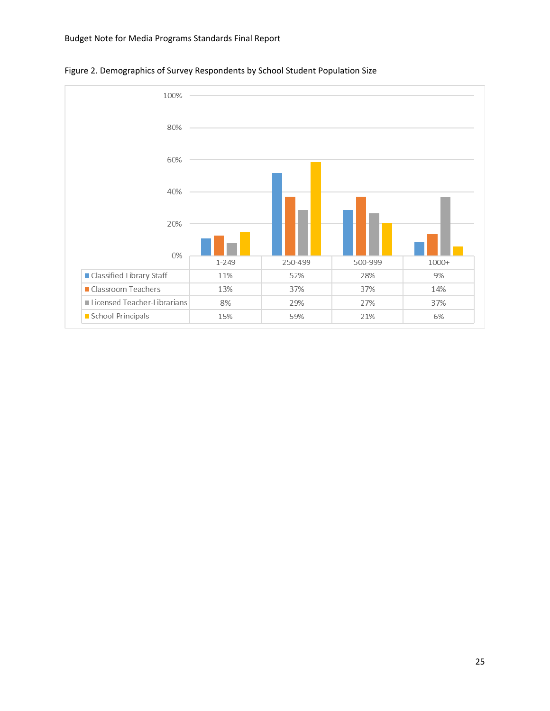

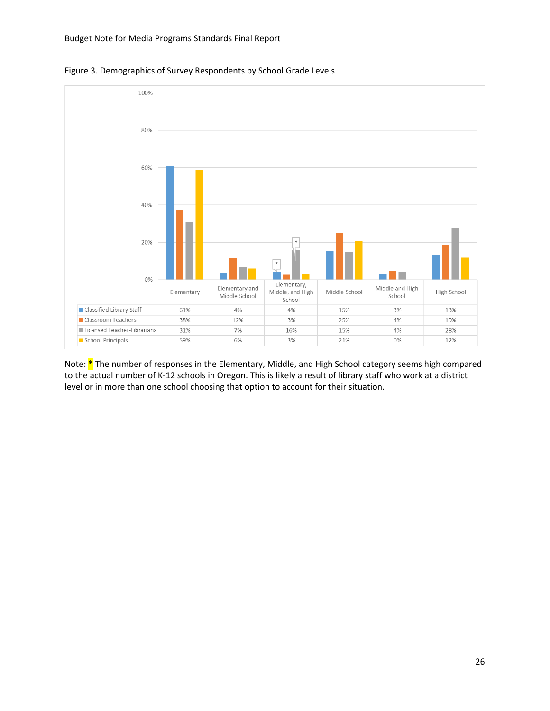

Figure 3. Demographics of Survey Respondents by School Grade Levels

Note: **\*** The number of responses in the Elementary, Middle, and High School category seems high compared to the actual number of K-12 schools in Oregon. This is likely a result of library staff who work at a district level or in more than one school choosing that option to account for their situation.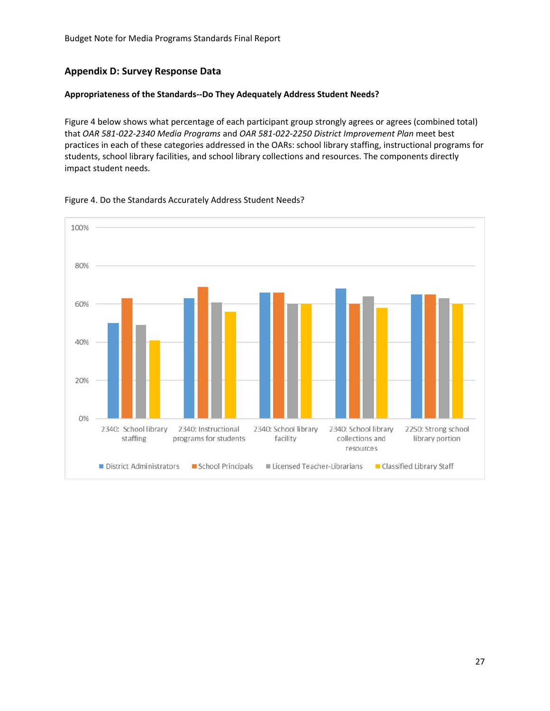#### <span id="page-27-0"></span>**Appendix D: Survey Response Data**

#### **Appropriateness of the Standards--Do They Adequately Address Student Needs?**

Figure 4 below shows what percentage of each participant group strongly agrees or agrees (combined total) that *OAR 581-022-2340 Media Programs* and *OAR 581-022-2250 District Improvement Plan* meet best practices in each of these categories addressed in the OARs: school library staffing, instructional programs for students, school library facilities, and school library collections and resources. The components directly impact student needs.



Figure 4. Do the Standards Accurately Address Student Needs?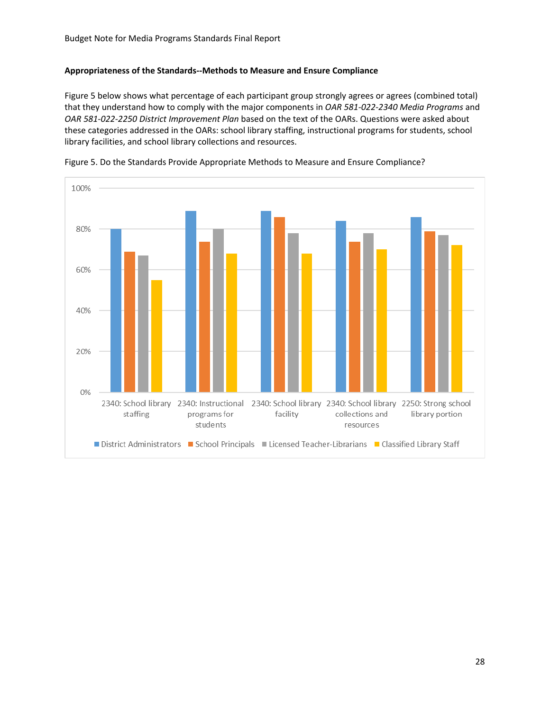#### **Appropriateness of the Standards--Methods to Measure and Ensure Compliance**

Figure 5 below shows what percentage of each participant group strongly agrees or agrees (combined total) that they understand how to comply with the major components in *OAR 581-022-2340 Media Programs* and *OAR 581-022-2250 District Improvement Plan* based on the text of the OARs. Questions were asked about these categories addressed in the OARs: school library staffing, instructional programs for students, school library facilities, and school library collections and resources.



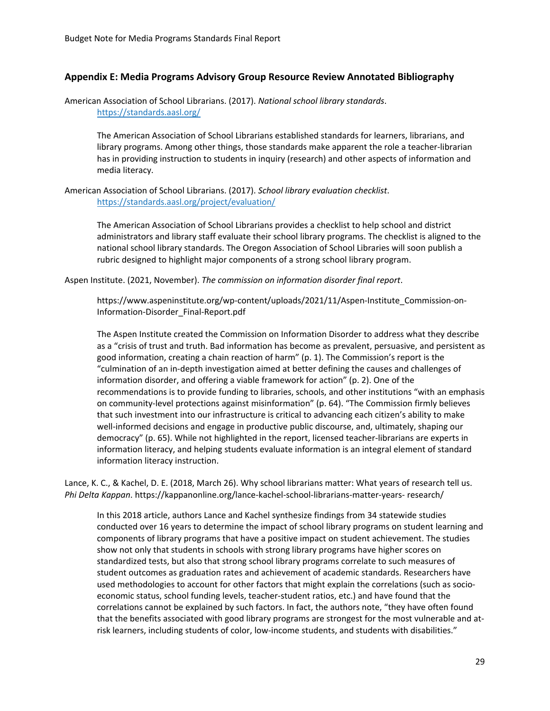#### <span id="page-29-0"></span>**Appendix E: Media Programs Advisory Group Resource Review Annotated Bibliography**

American Association of School Librarians. (2017). *National school library standards*. <https://standards.aasl.org/>

> The American Association of School Librarians established standards for learners, librarians, and library programs. Among other things, those standards make apparent the role a teacher-librarian has in providing instruction to students in inquiry (research) and other aspects of information and media literacy.

American Association of School Librarians. (2017). *School library evaluation checklist*. <https://standards.aasl.org/project/evaluation/>

> The American Association of School Librarians provides a checklist to help school and district administrators and library staff evaluate their school library programs. The checklist is aligned to the national school library standards. The Oregon Association of School Libraries will soon publish a rubric designed to highlight major components of a strong school library program.

Aspen Institute. (2021, November). *The commission on information disorder final report*.

https://www.aspeninstitute.org/wp-content/uploads/2021/11/Aspen-Institute\_Commission-on-Information-Disorder\_Final-Report.pdf

The Aspen Institute created the Commission on Information Disorder to address what they describe as a "crisis of trust and truth. Bad information has become as prevalent, persuasive, and persistent as good information, creating a chain reaction of harm" (p. 1). The Commission's report is the "culmination of an in-depth investigation aimed at better defining the causes and challenges of information disorder, and offering a viable framework for action" (p. 2). One of the recommendations is to provide funding to libraries, schools, and other institutions "with an emphasis on community-level protections against misinformation" (p. 64). "The Commission firmly believes that such investment into our infrastructure is critical to advancing each citizen's ability to make well-informed decisions and engage in productive public discourse, and, ultimately, shaping our democracy" (p. 65). While not highlighted in the report, licensed teacher-librarians are experts in information literacy, and helping students evaluate information is an integral element of standard information literacy instruction.

Lance, K. C., & Kachel, D. E. (2018, March 26). Why school librarians matter: What years of research tell us. *Phi Delta Kappan*. https://kappanonline.org/lance-kachel-school-librarians-matter-years- research/

In this 2018 article, authors Lance and Kachel synthesize findings from 34 statewide studies conducted over 16 years to determine the impact of school library programs on student learning and components of library programs that have a positive impact on student achievement. The studies show not only that students in schools with strong library programs have higher scores on standardized tests, but also that strong school library programs correlate to such measures of student outcomes as graduation rates and achievement of academic standards. Researchers have used methodologies to account for other factors that might explain the correlations (such as socioeconomic status, school funding levels, teacher-student ratios, etc.) and have found that the correlations cannot be explained by such factors. In fact, the authors note, "they have often found that the benefits associated with good library programs are strongest for the most vulnerable and atrisk learners, including students of color, low-income students, and students with disabilities."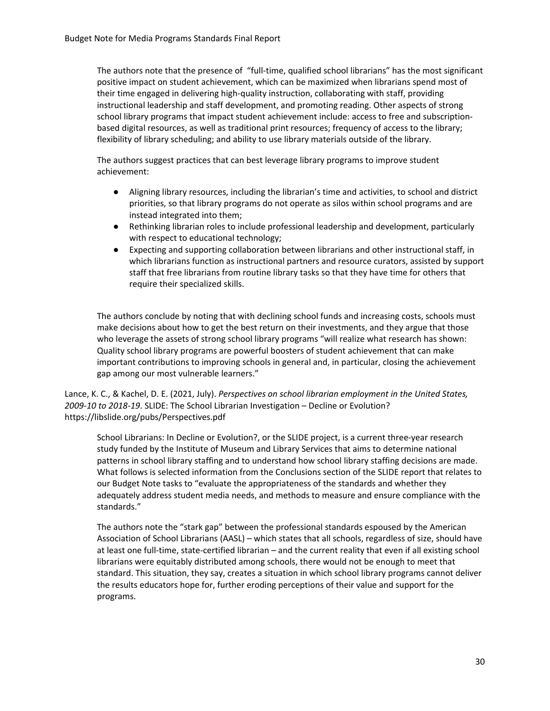The authors note that the presence of "full-time, qualified school librarians" has the most significant positive impact on student achievement, which can be maximized when librarians spend most of their time engaged in delivering high-quality instruction, collaborating with staff, providing instructional leadership and staff development, and promoting reading. Other aspects of strong school library programs that impact student achievement include: access to free and subscriptionbased digital resources, as well as traditional print resources; frequency of access to the library; flexibility of library scheduling; and ability to use library materials outside of the library.

The authors suggest practices that can best leverage library programs to improve student achievement:

- Aligning library resources, including the librarian's time and activities, to school and district priorities, so that library programs do not operate as silos within school programs and are instead integrated into them;
- Rethinking librarian roles to include professional leadership and development, particularly with respect to educational technology;
- Expecting and supporting collaboration between librarians and other instructional staff, in which librarians function as instructional partners and resource curators, assisted by support staff that free librarians from routine library tasks so that they have time for others that require their specialized skills.

The authors conclude by noting that with declining school funds and increasing costs, schools must make decisions about how to get the best return on their investments, and they argue that those who leverage the assets of strong school library programs "will realize what research has shown: Quality school library programs are powerful boosters of student achievement that can make important contributions to improving schools in general and, in particular, closing the achievement gap among our most vulnerable learners."

Lance, K. C., & Kachel, D. E. (2021, July). *Perspectives on school librarian employment in the United States, 2009-10 to 2018-19*. SLIDE: The School Librarian Investigation – Decline or Evolution? https://libslide.org/pubs/Perspectives.pdf

School Librarians: In Decline or Evolution?, or the SLIDE project, is a current three-year research study funded by the Institute of Museum and Library Services that aims to determine national patterns in school library staffing and to understand how school library staffing decisions are made. What follows is selected information from the Conclusions section of the SLIDE report that relates to our Budget Note tasks to "evaluate the appropriateness of the standards and whether they adequately address student media needs, and methods to measure and ensure compliance with the standards."

The authors note the "stark gap" between the professional standards espoused by the American Association of School Librarians (AASL) – which states that all schools, regardless of size, should have at least one full-time, state-certified librarian – and the current reality that even if all existing school librarians were equitably distributed among schools, there would not be enough to meet that standard. This situation, they say, creates a situation in which school library programs cannot deliver the results educators hope for, further eroding perceptions of their value and support for the programs.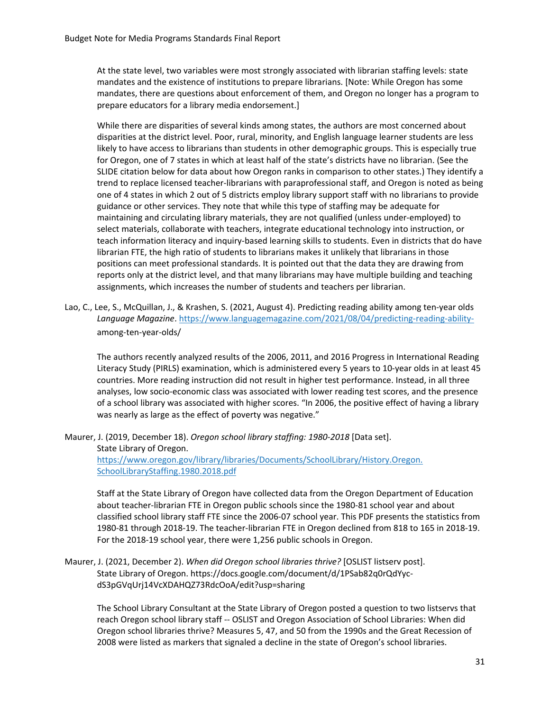At the state level, two variables were most strongly associated with librarian staffing levels: state mandates and the existence of institutions to prepare librarians. [Note: While Oregon has some mandates, there are questions about enforcement of them, and Oregon no longer has a program to prepare educators for a library media endorsement.]

While there are disparities of several kinds among states, the authors are most concerned about disparities at the district level. Poor, rural, minority, and English language learner students are less likely to have access to librarians than students in other demographic groups. This is especially true for Oregon, one of 7 states in which at least half of the state's districts have no librarian. (See the SLIDE citation below for data about how Oregon ranks in comparison to other states.) They identify a trend to replace licensed teacher-librarians with paraprofessional staff, and Oregon is noted as being one of 4 states in which 2 out of 5 districts employ library support staff with no librarians to provide guidance or other services. They note that while this type of staffing may be adequate for maintaining and circulating library materials, they are not qualified (unless under-employed) to select materials, collaborate with teachers, integrate educational technology into instruction, or teach information literacy and inquiry-based learning skills to students. Even in districts that do have librarian FTE, the high ratio of students to librarians makes it unlikely that librarians in those positions can meet professional standards. It is pointed out that the data they are drawing from reports only at the district level, and that many librarians may have multiple building and teaching assignments, which increases the number of students and teachers per librarian.

Lao, C., Lee, S., McQuillan, J., & Krashen, S. (2021, August 4). Predicting reading ability among ten-year olds *Language Magazine*. [https://www.languagemagazine.com/2021/08/04/predicting-reading-ability](https://www.languagemagazine.com/2021/08/04/predicting-reading-ability-)among-ten-year-olds/

The authors recently analyzed results of the 2006, 2011, and 2016 Progress in International Reading Literacy Study (PIRLS) examination, which is administered every 5 years to 10-year olds in at least 45 countries. More reading instruction did not result in higher test performance. Instead, in all three analyses, low socio-economic class was associated with lower reading test scores, and the presence of a school library was associated with higher scores. "In 2006, the positive effect of having a library was nearly as large as the effect of poverty was negative."

Maurer, J. (2019, December 18). *Oregon school library staffing: 1980-2018* [Data set]. State Library of Oregon. [https://www.oregon.gov/library/libraries/Documents/SchoolLibrary/History.Oregon.](https://www.oregon.gov/library/libraries/Documents/SchoolLibrary/History.Oregon.%20SchoolLibraryStaffing.1980.2018.pdf)  [SchoolLibraryStaffing.1980.2018.pdf](https://www.oregon.gov/library/libraries/Documents/SchoolLibrary/History.Oregon.%20SchoolLibraryStaffing.1980.2018.pdf)

Staff at the State Library of Oregon have collected data from the Oregon Department of Education about teacher-librarian FTE in Oregon public schools since the 1980-81 school year and about classified school library staff FTE since the 2006-07 school year. This PDF presents the statistics from 1980-81 through 2018-19. The teacher-librarian FTE in Oregon declined from 818 to 165 in 2018-19. For the 2018-19 school year, there were 1,256 public schools in Oregon.

#### Maurer, J. (2021, December 2). *When did Oregon school libraries thrive?* [OSLIST listserv post]. State Library of Oregon. [https://docs.google.com/document/d/1PSab82q0rQdYyc](https://docs.google.com/document/d/1PSab82q0rQdYyc-dS3pGVqUrj14VcXDAHQZ73RdcOoA/edit?usp=sharing)[dS3pGVqUrj14VcXDAHQZ73RdcOoA/edit?usp=sharing](https://docs.google.com/document/d/1PSab82q0rQdYyc-dS3pGVqUrj14VcXDAHQZ73RdcOoA/edit?usp=sharing)

The School Library Consultant at the State Library of Oregon posted a question to two listservs that reach Oregon school library staff -- OSLIST and Oregon Association of School Libraries: When did Oregon school libraries thrive? Measures 5, 47, and 50 from the 1990s and the Great Recession of 2008 were listed as markers that signaled a decline in the state of Oregon's school libraries.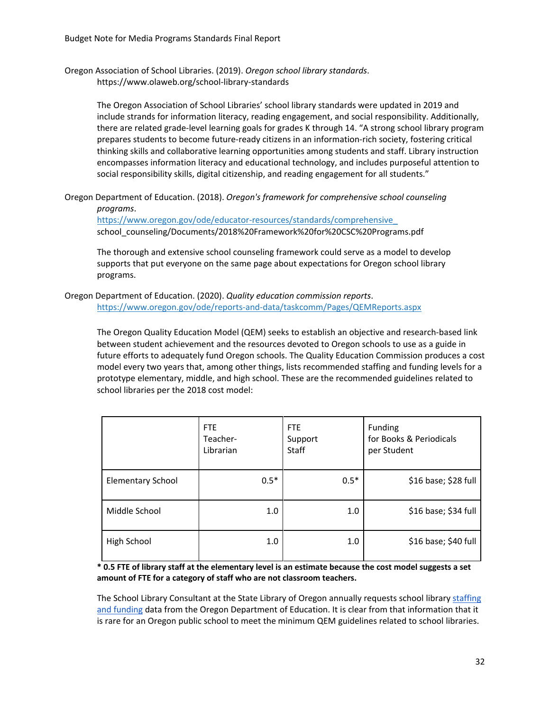Oregon Association of School Libraries. (2019). *Oregon school library standards*. https://www.olaweb.org/school-library-standards

> The Oregon Association of School Libraries' school library standards were updated in 2019 and include strands for information literacy, reading engagement, and social responsibility. Additionally, there are related grade-level learning goals for grades K through 14. "A strong school library program prepares students to become future-ready citizens in an information-rich society, fostering critical thinking skills and collaborative learning opportunities among students and staff. Library instruction encompasses information literacy and educational technology, and includes purposeful attention to social responsibility skills, digital citizenship, and reading engagement for all students."

Oregon Department of Education. (2018). *Oregon's framework for comprehensive school counseling programs*.

[https://www.oregon.gov/ode/educator-resources/standards/comprehensive\\_](https://www.oregon.gov/ode/educator-resources/standards/comprehensive_) school\_counseling/Documents/2018%20Framework%20for%20CSC%20Programs.pdf

The thorough and extensive school counseling framework could serve as a model to develop supports that put everyone on the same page about expectations for Oregon school library programs.

Oregon Department of Education. (2020). *Quality education commission reports*. <https://www.oregon.gov/ode/reports-and-data/taskcomm/Pages/QEMReports.aspx>

The Oregon Quality Education Model (QEM) seeks to establish an objective and research-based link between student achievement and the resources devoted to Oregon schools to use as a guide in future efforts to adequately fund Oregon schools. The Quality Education Commission produces a cost model every two years that, among other things, lists recommended staffing and funding levels for a prototype elementary, middle, and high school. These are the recommended guidelines related to school libraries per the 2018 cost model:

|                          | FTE<br>Teacher-<br>Librarian | FTE.<br>Support<br>Staff | Funding<br>for Books & Periodicals<br>per Student |
|--------------------------|------------------------------|--------------------------|---------------------------------------------------|
| <b>Elementary School</b> | $0.5*$                       | $0.5*$                   | \$16 base; \$28 full                              |
| Middle School            | 1.0                          | 1.0                      | \$16 base; \$34 full                              |
| High School              | 1.0                          | 1.0                      | \$16 base; \$40 full                              |

#### **\* 0.5 FTE of library staff at the elementary level is an estimate because the cost model suggests a set amount of FTE for a category of staff who are not classroom teachers.**

The School Library Consultant at the State Library of Oregon annually requests school library staffing [and funding](https://www.oregon.gov/library/libraries/Pages/School-Staffing.aspx) data from the Oregon Department of Education. It is clear from that information that it is rare for an Oregon public school to meet the minimum QEM guidelines related to school libraries.